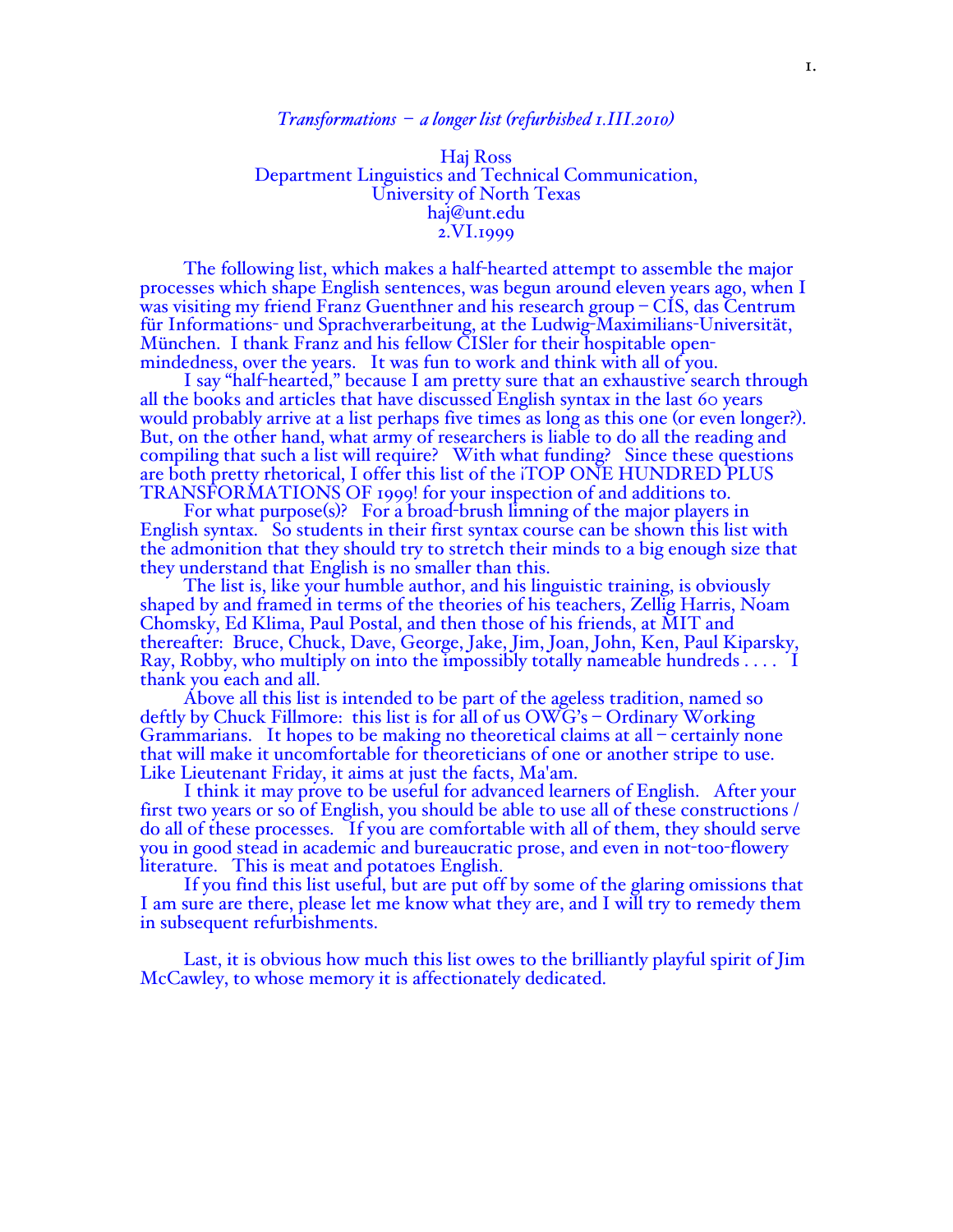#### *Transformations – a longer list (refurbished 1.III.2010)*

#### Haj Ross Department Linguistics and Technical Communication, University of North Texas haj@unt.edu 2.VI.1999

The following list, which makes a half-hearted attempt to assemble the major processes which shape English sentences, was begun around eleven years ago, when I was visiting my friend Franz Guenthner and his research group – CIS, das Centrum für Informations- und Sprachverarbeitung, at the Ludwig-Maximilians-Universität, München. I thank Franz and his fellow CISler for their hospitable openmindedness, over the years. It was fun to work and think with all of you.

I say "half-hearted," because I am pretty sure that an exhaustive search through all the books and articles that have discussed English syntax in the last 60 years would probably arrive at a list perhaps five times as long as this one (or even longer?). But, on the other hand, what army of researchers is liable to do all the reading and compiling that such a list will require? With what funding? Since these questions are both pretty rhetorical, I offer this list of the ¡TOP ONE HUNDRED PLUS TRANSFORMATIONS OF 1999! for your inspection of and additions to.

For what purpose(s)? For a broad-brush limning of the major players in English syntax. So students in their first syntax course can be shown this list with the admonition that they should try to stretch their minds to a big enough size that they understand that English is no smaller than this.

The list is, like your humble author, and his linguistic training, is obviously shaped by and framed in terms of the theories of his teachers, Zellig Harris, Noam Chomsky, Ed Klima, Paul Postal, and then those of his friends, at MIT and thereafter: Bruce, Chuck, Dave, George, Jake, Jim, Joan, John, Ken, Paul Kiparsky, Ray, Robby, who multiply on into the impossibly totally nameable hundreds . . . . I thank you each and all.

Above all this list is intended to be part of the ageless tradition, named so deftly by Chuck Fillmore: this list is for all of us OWG's – Ordinary Working Grammarians. It hopes to be making no theoretical claims at all – certainly none that will make it uncomfortable for theoreticians of one or another stripe to use. Like Lieutenant Friday, it aims at just the facts, Ma'am.

I think it may prove to be useful for advanced learners of English. After your first two years or so of English, you should be able to use all of these constructions / do all of these processes. If you are comfortable with all of them, they should serve you in good stead in academic and bureaucratic prose, and even in not-too-flowery literature. This is meat and potatoes English.

If you find this list useful, but are put off by some of the glaring omissions that I am sure are there, please let me know what they are, and I will try to remedy them in subsequent refurbishments.

Last, it is obvious how much this list owes to the brilliantly playful spirit of Jim McCawley, to whose memory it is affectionately dedicated.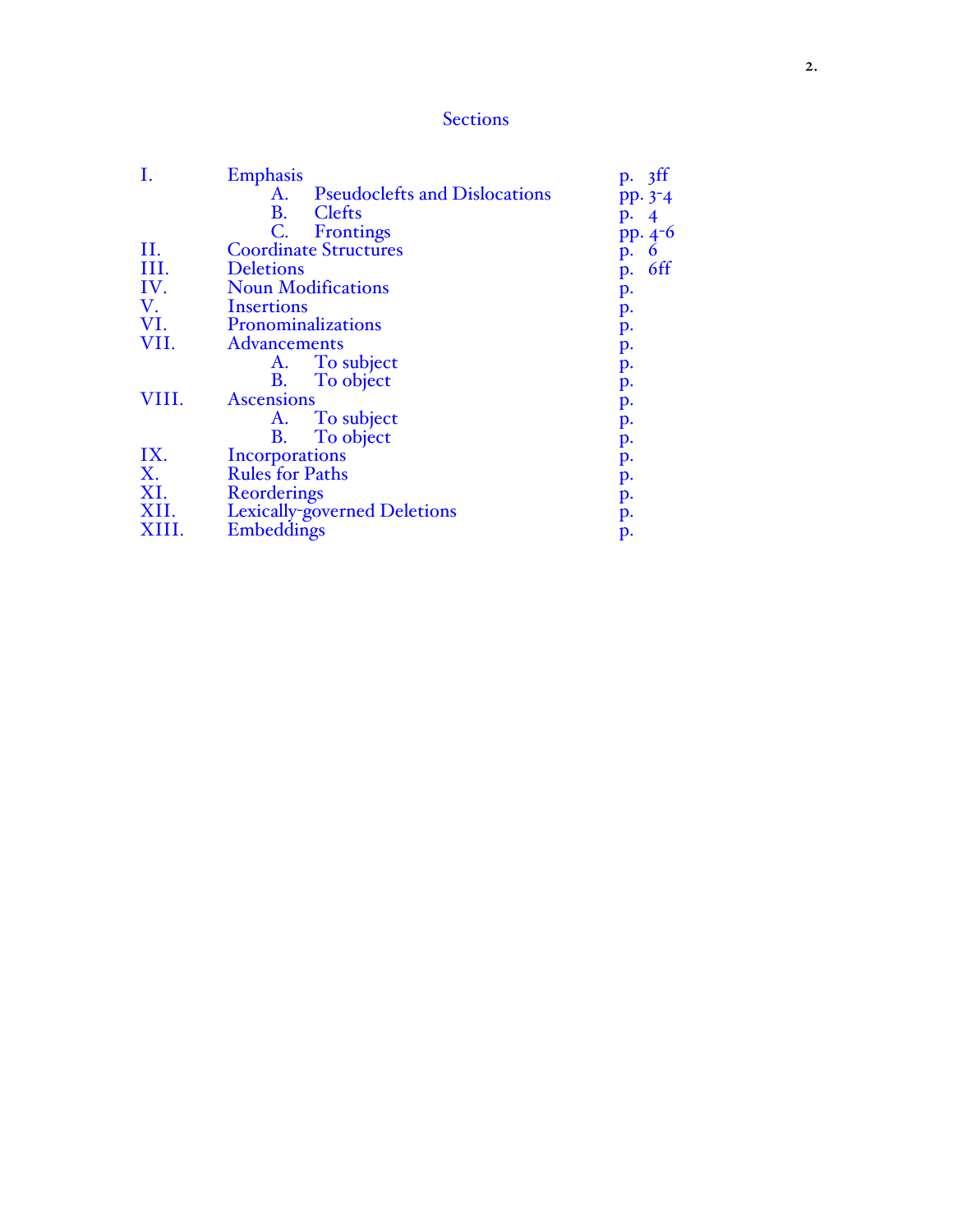# **Sections**

|       | <b>Emphasis</b>                            | p. 3ff               |
|-------|--------------------------------------------|----------------------|
|       | <b>Pseudoclefts and Dislocations</b><br>А. | pp. 3 <sup>-</sup> 4 |
|       | <b>B.</b><br>Clefts                        | р. –                 |
|       | $\mathsf{C}$ .<br>Frontings                | $pp.4-6$             |
| II.   | <b>Coordinate Structures</b>               | 6<br>p.              |
| III.  | <b>Deletions</b>                           | 6ff<br>p.            |
| IV.   | <b>Noun Modifications</b>                  | p.                   |
| V.    | <b>Insertions</b>                          | p.                   |
| VI.   | Pronominalizations                         | p.                   |
| VII.  | <b>Advancements</b>                        | p.                   |
|       | To subject<br>A.                           | p.                   |
|       | <b>B.</b><br>To object                     | p.                   |
| VIII. | <b>Ascensions</b>                          | p.                   |
|       | A.<br>To subject                           | p.                   |
|       | To object<br><b>B.</b>                     | p.                   |
| IX.   | Incorporations                             | p.                   |
| X.    | <b>Rules for Paths</b>                     | p.                   |
| XI.   | Reorderings                                | p.                   |
| XII.  | Lexically-governed Deletions               | p.                   |
| XIII. | Embeddings                                 | p.                   |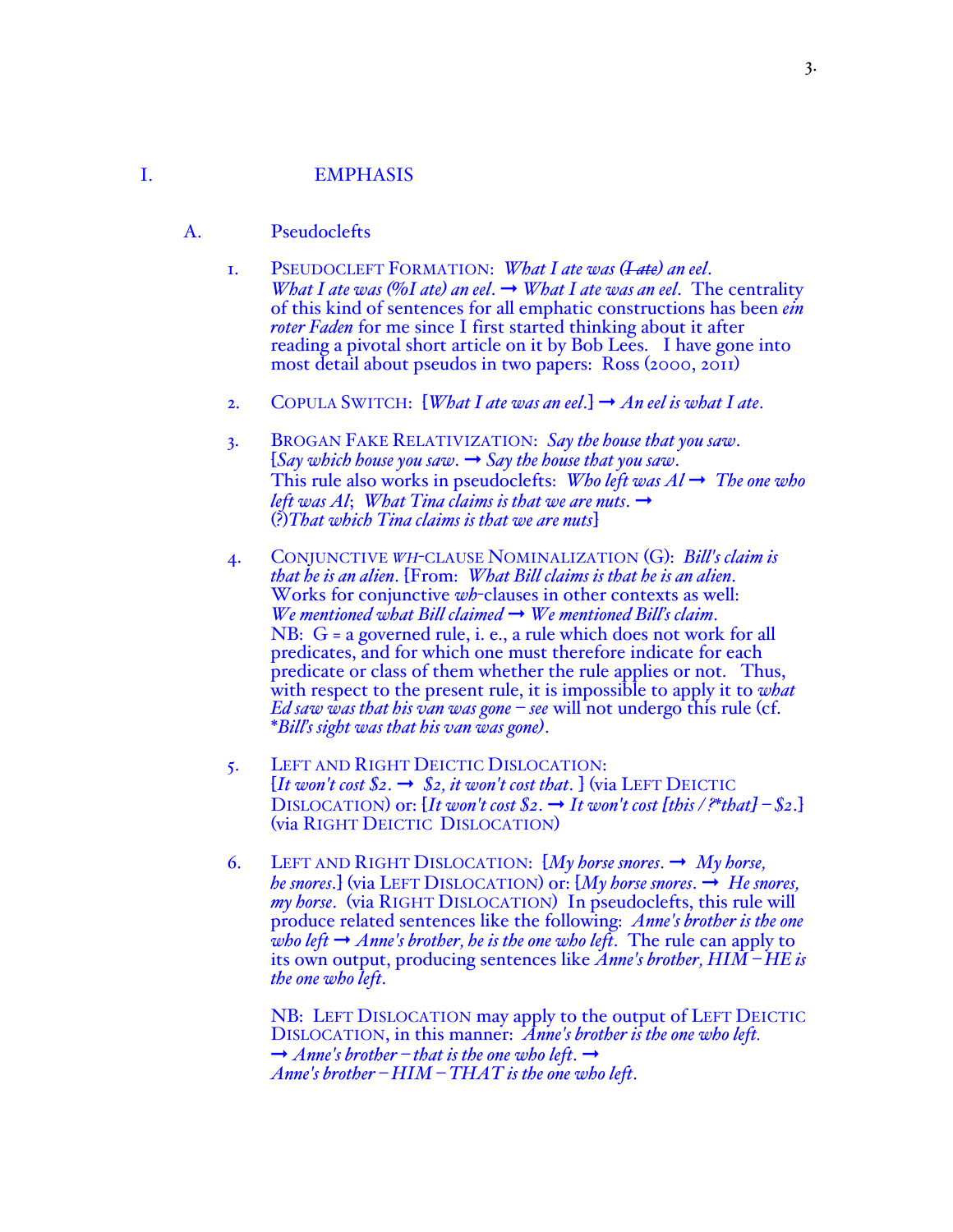# I. EMPHASIS

- A. Pseudoclefts
	- 1. PSEUDOCLEFT FORMATION: *What I ate was (I ate) an eel*. *What I ate was (%I ate) an eel.*  $\rightarrow$  *What I ate was an eel.* The centrality of this kind of sentences for all emphatic constructions has been *ein roter Faden* for me since I first started thinking about it after reading a pivotal short article on it by Bob Lees. I have gone into most detail about pseudos in two papers: Ross (2000, 2011)
	- 2. COPULA SWITCH:  $[What I ate was an eel.] \rightarrow An eel is what I ate.$
	- 3. BROGAN FAKE RELATIVIZATION: *Say the house that you saw*. [*Say which house you saw*. ➞ *Say the house that you saw*. This rule also works in pseudoclefts: *Who left was*  $Al \rightarrow$  *The one who left was Al*; *What Tina claims is that we are nuts.*  $\rightarrow$ (?)*That which Tina claims is that we are nuts*]
	- 4. CONJUNCTIVE *WH*-CLAUSE NOMINALIZATION (G): *Bill's claim is that he is an alien*. [From: *What Bill claims is that he is an alien*. Works for conjunctive *wh*-clauses in other contexts as well: *We mentioned what Bill claimed* ➞ *We mentioned Bill's claim*. NB: G = a governed rule, i. e., a rule which does not work for all predicates, and for which one must therefore indicate for each predicate or class of them whether the rule applies or not. Thus, with respect to the present rule, it is impossible to apply it to *what Ed saw was that his van was gone* – *see* will not undergo this rule (cf. \**Bill's sight was that his van was gone)*.
	- 5. LEFT AND RIGHT DEICTIC DISLOCATION:  $[It won't cost $2. \rightarrow $2, it won't cost that.]$  (via LEFT DEICTIC DISLOCATION) or:  $[It won't cost $2. \rightarrow It won't cost [this /*that] - $2.]$ (via RIGHT DEICTIC DISLOCATION)
	- 6. LEFT AND RIGHT DISLOCATION: [*My horse snores*. ➞ *My horse, he snores.*] (via LEFT DISLOCATION) or:  $[M<sub>y</sub>$  horse snores.  $\rightarrow$  *He snores, my horse*. (via RIGHT DISLOCATION) In pseudoclefts, this rule will produce related sentences like the following: *Anne's brother is the one who left*  $\rightarrow$  *Anne's brother, he is the one who left.* The rule can apply to its own output, producing sentences like *Anne's brother, HIM – HE is the one who left*.

NB: LEFT DISLOCATION may apply to the output of LEFT DEICTIC DISLOCATION, in this manner: *Anne's brother is the one who left.*  $\rightarrow$  *Anne's brother – that is the one who left.*  $\rightarrow$ *Anne's brother – HIM – THAT is the one who left*.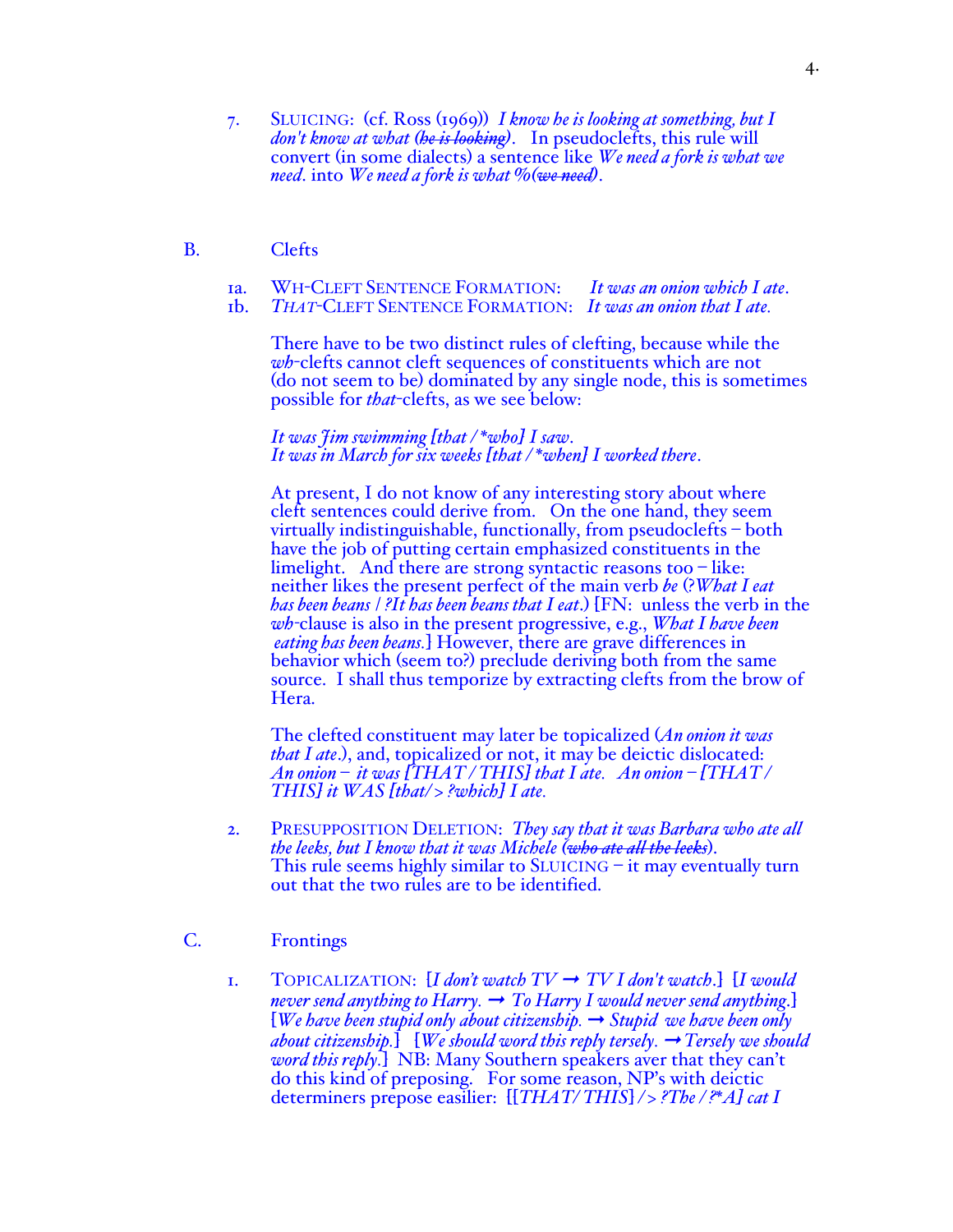- 7. SLUICING: (cf. Ross (1969)) *I know he is looking at something, but I don't know at what (he is looking)*. In pseudoclefts, this rule will convert (in some dialects) a sentence like *We need a fork is what we need*. into *We need a fork is what %(we need)*.
- B. Clefts
	- 1a. WH-CLEFT SENTENCE FORMATION: *It was an onion which I ate*.
	- 1b. *THAT*-CLEFT SENTENCE FORMATION: *It was an onion that I ate.*

There have to be two distinct rules of clefting, because while the *wh*-clefts cannot cleft sequences of constituents which are not (do not seem to be) dominated by any single node, this is sometimes possible for *that*-clefts, as we see below:

*It was Jim swimming [that / \*who] I saw*. *It was in March for six weeks [that / \*when] I worked there*.

At present, I do not know of any interesting story about where cleft sentences could derive from. On the one hand, they seem virtually indistinguishable, functionally, from pseudoclefts – both have the job of putting certain emphasized constituents in the limelight. And there are strong syntactic reasons too – like: neither likes the present perfect of the main verb *be* (?*What I eat has been beans* / *?It has been beans that I eat*.) [FN: unless the verb in the *wh-*clause is also in the present progressive, e.g., *What I have been eating has been beans.*] However, there are grave differences in behavior which (seem to?) preclude deriving both from the same source. I shall thus temporize by extracting clefts from the brow of Hera.

The clefted constituent may later be topicalized (*An onion it was that I ate*.), and, topicalized or not, it may be deictic dislocated: *An onion – it was [THAT / THIS] that I ate. An onion – [THAT / THIS] it WAS [that/ > ?which] I ate.*

- 2. PRESUPPOSITION DELETION: *They say that it was Barbara who ate all the leeks, but I know that it was Michele (who ate all the leeks*). This rule seems highly similar to SLUICING – it may eventually turn out that the two rules are to be identified.
- C. Frontings
	- 1. TOPICALIZATION:  $[I \text{ don't watch TV} \rightarrow TV I \text{ don't watch.}] [I \text{ would}$ *never send anything to Harry.*  $\rightarrow$  *To Harry I would never send anything.* [*We have been stupid only about citizenship.* ➞ *Stupid we have been only about citizenship.*] [*We should word this reply tersely.* ➞ *Tersely we should word this reply.*] NB: Many Southern speakers aver that they can't do this kind of preposing. For some reason, NP's with deictic determiners prepose easilier: [[*THAT/ THIS*] */ > ?The / ?\*A] cat I*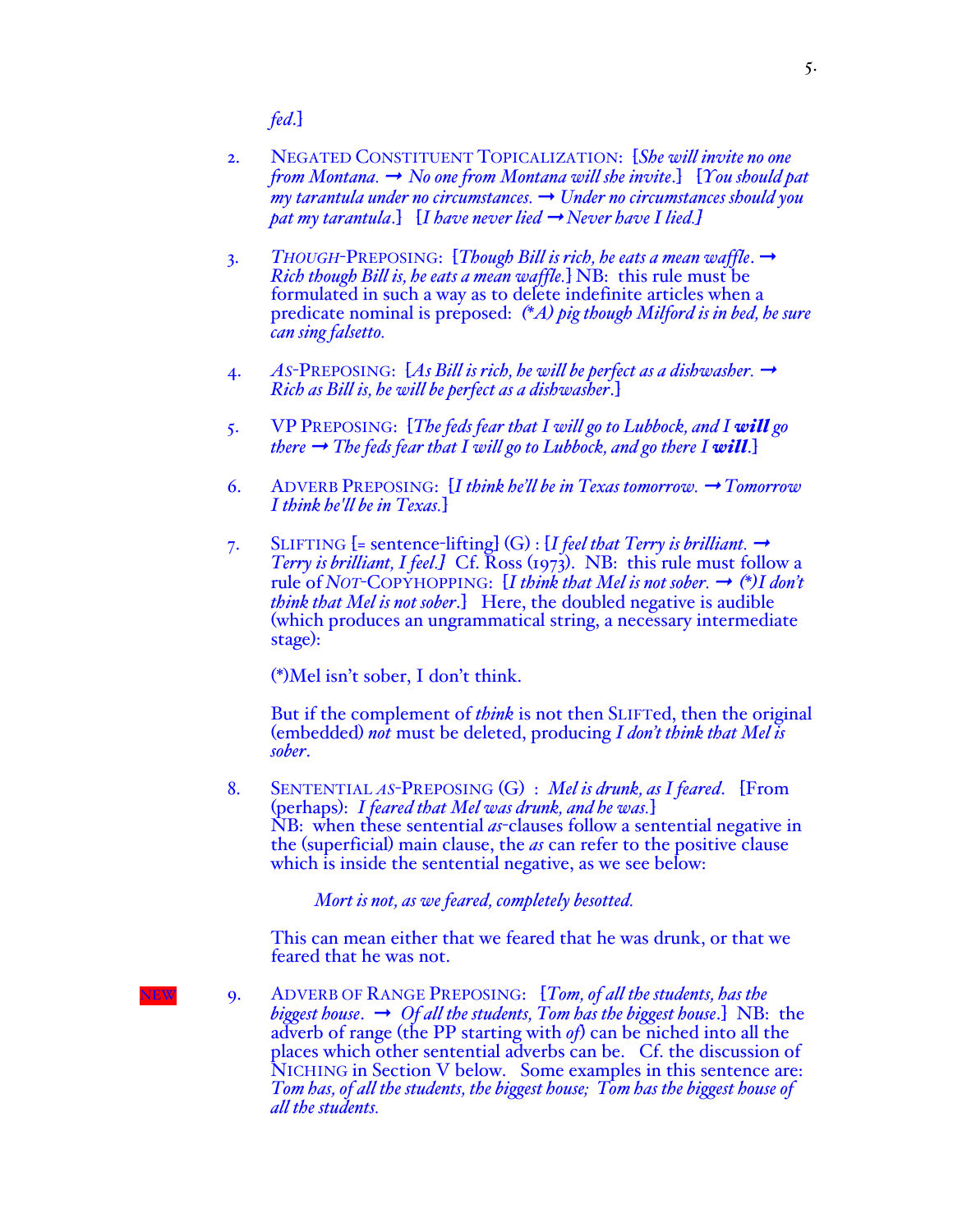*fed*.]

- 2. NEGATED CONSTITUENT TOPICALIZATION: [*She will invite no one from Montana.* ➞ *No one from Montana will she invite*.] [*You should pat my tarantula under no circumstances.* ➞ *Under no circumstances should you pat my tarantula*.]  $[I \text{ } have \text{ } never \text{ } lied \rightarrow Never \text{ } have \text{ } I \text{ } lied.]$
- 3. *THOUGH*-PREPOSING: [*Though Bill is rich, he eats a mean waffle*. ➞ *Rich though Bill is, he eats a mean waffle.*] NB: this rule must be formulated in such a way as to delete indefinite articles when a predicate nominal is preposed: *(\*A) pig though Milford is in bed, he sure can sing falsetto.*
- 4. *AS*-PREPOSING: [*As Bill is rich, he will be perfect as a dishwasher.* ➞ *Rich as Bill is, he will be perfect as a dishwasher*.]
- 5. VP PREPOSING: [*The feds fear that I will go to Lubbock, and I will go there*  $\rightarrow$  *The feds fear that I will go to Lubbock, and go there I will.*]
- 6. ADVERB PREPOSING: [*I think he'll be in Texas tomorrow.* ➞ *Tomorrow I think he'll be in Texas.*]
- 7. SLIFTING  $[=$  sentence-lifting]  $(G)$  :  $[I$  *feel that Terry is brilliant.*  $\rightarrow$  *Terry is brilliant, I feel.]* Cf. Ross (1973). NB: this rule must follow a rule of *NOT*-COPYHOPPING:  $[I \text{ think that Mel is not sober.} \rightarrow (*)I \text{ don't}$ <br>think that Mel is not sober.} Here, the doubled negative is audible *(which produces an ungrammatical string, a necessary intermediate* stage):

(\*)Mel isn't sober, I don't think.

But if the complement of *think* is not then SLIFTed, then the original (embedded) *not* must be deleted, producing *<sup>I</sup> don't think that Mel is sober*.

8. SENTENTIAL *AS*-PREPOSING (G) : *Mel is drunk, as I feared*. [From (perhaps): *I feared that Mel was drunk, and he was.*] the (superficial) main clause, the *as* can refer to the positive clause which is inside the sentential negative, as we see below:

*Mort is not, as we feared, completely besotted.*

This can mean either that we feared that he was drunk, or that we feared that he was not.

NEW 9. ADVERB OF RANGE PREPOSING: [*Tom, of all the students, has the biggest house*. ➞ *Of all the students, Tom has the biggest house*.] NB: the adverb of range (the PP starting with *of*) can be niched into all the places which other sentential adverbs can be. Cf. the discussion of NICHING in Section V below. Some examples in this sentence are: *Tom has, of all the students, the biggest house; Tom has the biggest house of all the students.*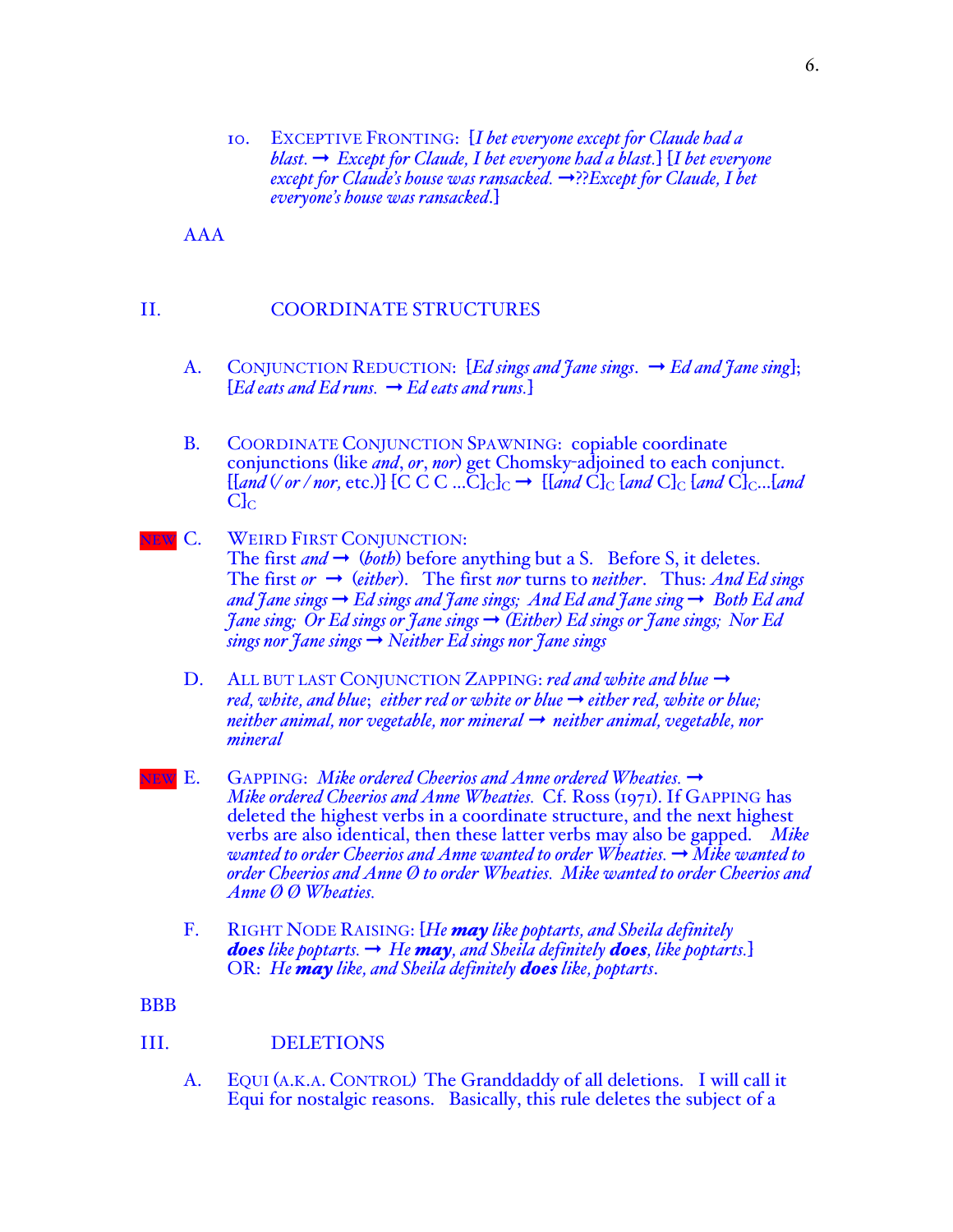10. EXCEPTIVE FRONTING: [*I bet everyone except for Claude had a blast.* ➞ *Except for Claude, I bet everyone had a blast.*] [*I bet everyone except for Claude's house was ransacked.* ➞??*Except for Claude, I bet everyone's house was ransacked*.]

AAA

# II. COORDINATE STRUCTURES

- A. CONJUNCTION REDUCTION: [*Ed sings and †ane sings.* → *Ed and †ane sing*];  $[Ed$  *eats and Ed runs.*  $\rightarrow Ed$  *eats and runs.*
- B. COORDINATE CONJUNCTION SPAWNING: copiable coordinate conjunctions (like *and*, *or*, *nor*) get Chomsky-adjoined to each conjunct.  $[[and \lor or /nor, etc.]] [C C C ... C]_{C}]_{C} \rightarrow [[and C]_{C} [and C]_{C} [and C]_{C} ... [and$  $C_{\rm lc}$
- **NEW C. WEIRD FIRST CONJUNCTION:** The first *and*  $\rightarrow$  (*both*) before anything but a S. Before S, it deletes. The first  $or \rightarrow (either)$ . The first *nor* turns to *neither*. Thus: And Ed sings *and Jane sings* ➞ *Ed sings and Jane sings; And Ed and Jane sing* ➞ *Both Ed and Jane sing; Or Ed sings or Jane sings* ➞ *(Either) Ed sings or Jane sings; Nor Ed sings nor Jane sings* ➞ *Neither Ed sings nor Jane sings*
	- D. ALL BUT LAST CONJUNCTION ZAPPING: *red and white and blue* → *red, white, and blue; either red or white or blue*  $\rightarrow$  *either red, white or blue; neither animal, nor vegetable, nor mineral* → *neither animal, vegetable, nor mineral*
- **<u>IEW E.</u>** GAPPING: *Mike ordered Cheerios and Anne ordered Wheaties.* → *Mike ordered Cheerios and Anne Wheaties.* Cf. Ross (1971). If GAPPING has deleted the highest verbs in a coordinate structure, and the next highest verbs are also identical, then these latter verbs may also be gapped. *Mike wanted to order Cheerios and Anne wanted to order Wheaties. → Mike wanted to order Cheerios and Anne Ø to order Wheaties. Mike wanted to order Cheerios and Anne Ø Ø Wheaties.*
	- F. RIGHT NODE RAISING: [*He may like poptarts, and Sheila definitely does like poptarts.*  $\rightarrow$  *He may, and Sheila definitely <i>does*, like poptarts. OR: *He may like, and Sheila definitely does like, poptarts*.

**BBB** 

# III. DELETIONS

A. EQUI (A.K.A. CONTROL) The Granddaddy of all deletions. I will call it Equi for nostalgic reasons. Basically, this rule deletes the subject of a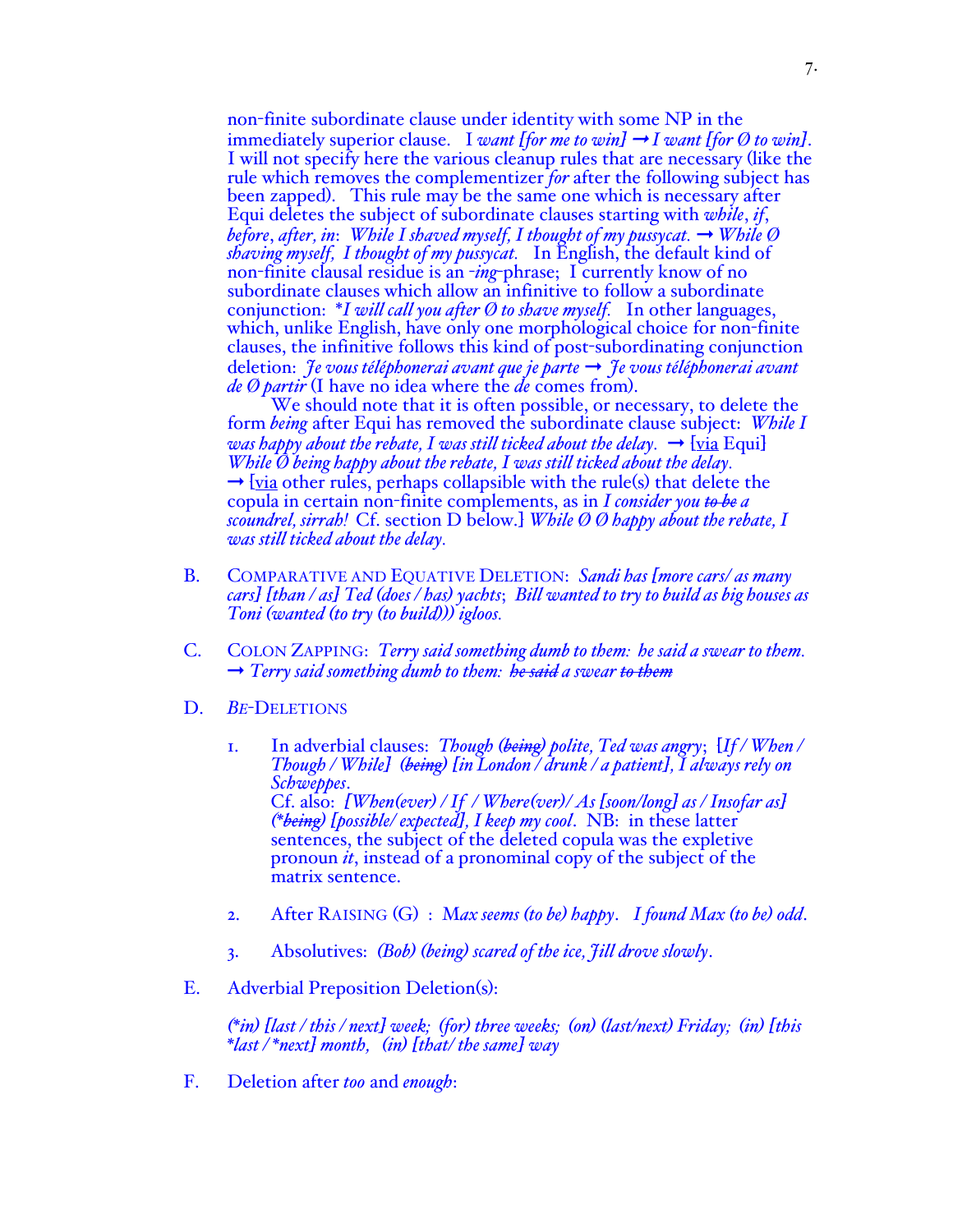non-finite subordinate clause under identity with some NP in the immediately superior clause. I want [for me to win]  $\rightarrow$  *I want* [for Ø to win]. I will not specify here the various cleanup rules that are necessary (like the rule which removes the complementizer *for* after the following subject has been zapped). This rule may be the same one which is necessary after Equi deletes the subject of subordinate clauses starting with *while*, *if*, *before, after, in: While I shaved myself, I thought of my pussycat.*  $\rightarrow$  *While*  $\emptyset$ *shaving myself, I thought of my pussycat.* In English, the default kind of non-finite clausal residue is an -*ing*-phrase; I currently know of no subordinate clauses which allow an infinitive to follow a subordinate conjunction: \**I will call you after Ø to shave myself.* In other languages, which, unlike English, have only one morphological choice for non-finite clauses, the infinitive follows this kind of post-subordinating conjunction deletion: *Je vous téléphonerai avant que je parte* ➞ *Je vous téléphonerai avant de Ø partir* (I have no idea where the *de* comes from).

We should note that it is often possible, or necessary, to delete the form *being* after Equi has removed the subordinate clause subject: *While I was happy about the rebate, I was still ticked about the delay.*  $\rightarrow$  [via Equi] *While Ø being happy about the rebate, I was still ticked about the delay.*  $\rightarrow$  [via other rules, perhaps collapsible with the rule(s) that delete the copula in certain non-finite complements, as in *I consider you to be a scoundrel, sirrah!* Cf. section D below.] *While Ø Ø happy about the rebate, I was still ticked about the delay.*

- B. COMPARATIVE AND EQUATIVE DELETION: *Sandi has [more cars/ as many cars] [than / as] Ted (does / has) yachts*; *Bill wanted to try to build as big houses as Toni (wanted (to try (to build))) igloos.*
- C. COLON ZAPPING: *Terry said something dumb to them: he said a swear to them.* ➞ *Terry said something dumb to them: he said a swear to them*
- D. *BE*-DELETIONS
	- 1. In adverbial clauses: *Though (being) polite, Ted was angry*; [*If / When / Though / While] (being) [in London / drunk / a patient], I always rely on Schweppes*. Cf. also: *[When(ever) / If / Where(ver)/ As [soon/long] as / Insofar as] (\*being) [possible/ expected], I keep my cool*. NB: in these latter sentences, the subject of the deleted copula was the expletive pronoun *it*, instead of a pronominal copy of the subject of the matrix sentence.
	- 2. After RAISING (G) : M*ax seems (to be) happy*. *I found Max (to be) odd*.
	- 3. Absolutives: *(Bob) (being) scared of the ice, Jill drove slowly*.
- E. Adverbial Preposition Deletion(s):

(\*in) [last / this / next] week; (for) three weeks; (on) (last/next) Friday; (in) [this \*last /\*next] month, (in) [that/ the same] way

F. Deletion after *too* and *enough*: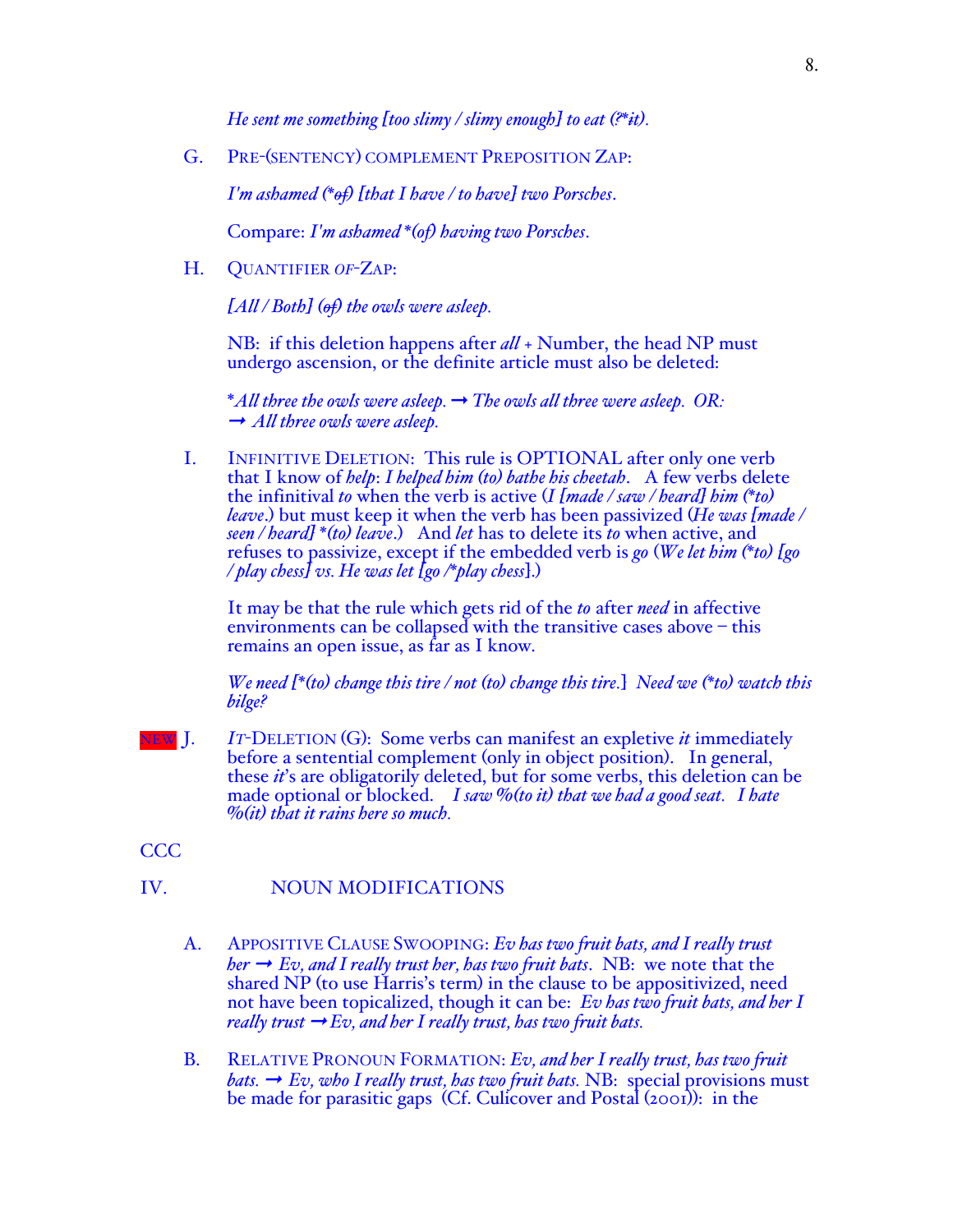*He sent me something [too slimy / slimy enough] to eat (?\*it).*

G. PRE-(SENTENCY) COMPLEMENT PREPOSITION ZAP:

*I'm ashamed (\*of) [that I have / to have] two Porsches*.

Compare: *I'm ashamed \*(of) having two Porsches*.

H. QUANTIFIER *OF*-ZAP:

*[All / Both] (of) the owls were asleep.*

NB: if this deletion happens after *all* + Number, the head NP must undergo ascension, or the definite article must also be deleted:

\**All three the owls were asleep.* ➞ *The owls all three were asleep. OR:* ➞ *All three owls were asleep.*

I. INFINITIVE DELETION: This rule is OPTIONAL after only one verb that I know of *help*: *I helped him (to) bathe his cheetah*. A few verbs delete the infinitival *to* when the verb is active (*I [made / saw / heard] him (\*to) leave*.) but must keep it when the verb has been passivized (*He was [made / seen / heard] \*(to) leave*.) And *let* has to delete its *to* when active, and refuses to passivize, except if the embedded verb is *go* (*We let him (\*to) [go / play chess] vs. He was let [go /\*play chess*].)

It may be that the rule which gets rid of the *to* after *need* in affective environments can be collapsed with the transitive cases above – this remains an open issue, as far as I know.

*We need [\*(to) change this tire / not (to) change this tire.*] *Need we (\*to) watch this bilge?*

- **EW** J. *IT*-DELETION (G): Some verbs can manifest an expletive *it* immediately before a sentential complement (only in object position). In general, these *it*'s are obligatorily deleted, but for some verbs, this deleti made optional or blocked. *I saw %(to it) that we had a good seat. I hate %(it) that it rains here so much.*
- CCC

# IV. NOUN MODIFICATIONS

- A. APPOSITIVE CLAUSE SWOOPING: *Ev has two fruit bats, and I really trust her*  $\rightarrow$  *Ev, and I really trust her, has two fruit bats.* NB: we note that the shared NP (to use Harris's term) in the clause to be appositivized, need not have been topicalized, though it can be: *Ev has two fruit bats, and her I really trust*  $\rightarrow$  *Ev, and her I really trust, has two fruit bats.*
- B. RELATIVE PRONOUN FORMATION: *Ev, and her I really trust, has two fruit bats.*  $\rightarrow$  *Ev, who I really trust, has two fruit bats.* NB: special provisions must be made for parasitic gaps (Cf. Culicover and Postal (2001)): in the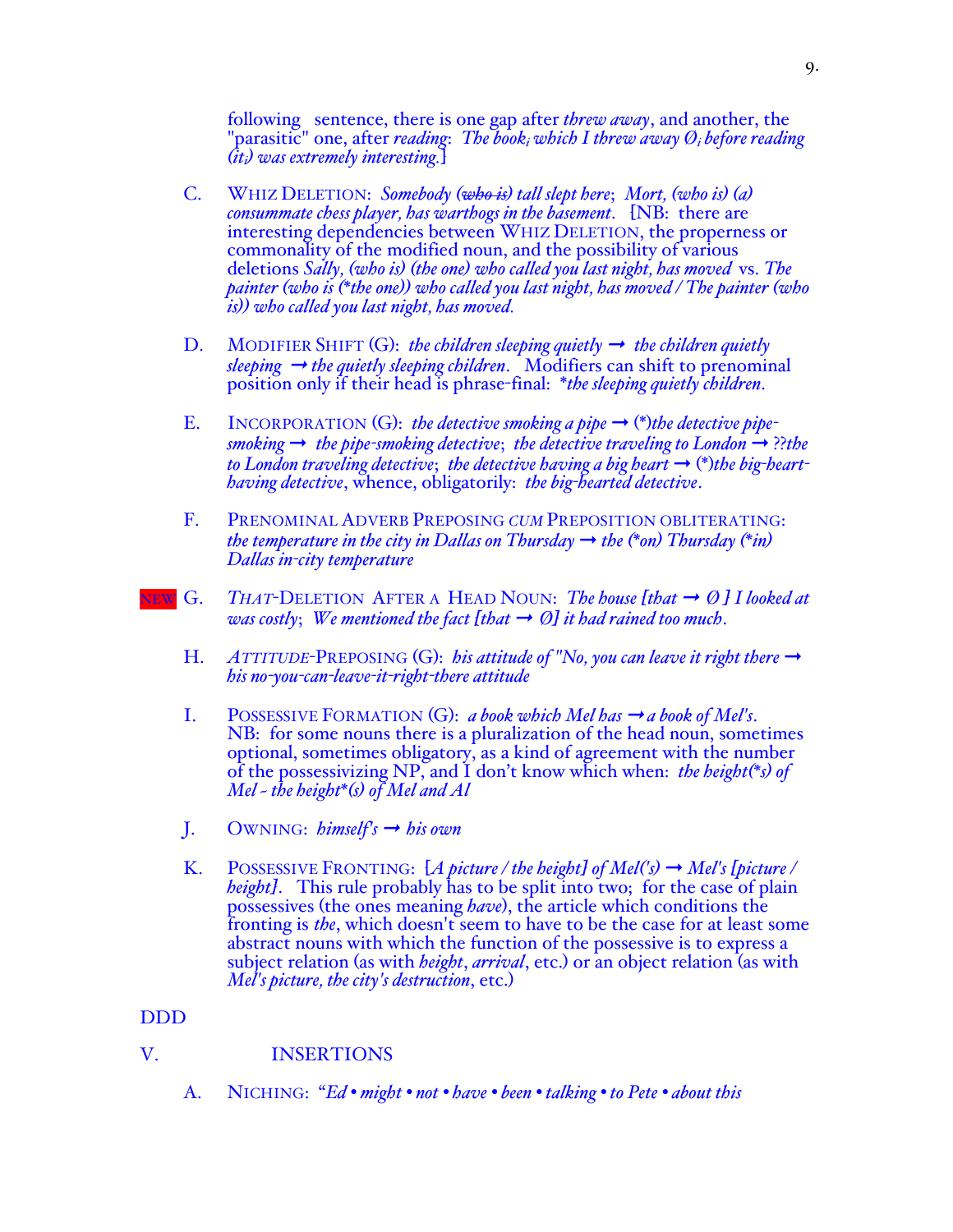following sentence, there is one gap after *threw away*, and another, the "parasitic" one, after *reading*: *The booki which I threw away Øi before reading (iti) was extremely interesting.*]

- C. WHIZ DELETION: *Somebody (who is) tall slept here*; *Mort, (who is) (a) consummate chess player, has warthogs in the basement*. [NB: there are interesting dependencies between WHIZ DELETION, the properness or commonality of the modified noun, and the possibility of various deletions *Sally, (who is) (the one) who called you last night, has moved* vs. *The painter (who is (\*the one)) who called you last night, has moved / The painter (who is)) who called you last night, has moved.*
- D. MODIFIER SHIFT  $(G)$ : *the children sleeping quietly*  $\rightarrow$  *the children quietly*  $s$ *leeping*  $\rightarrow$  *the quietly sleeping children.* Modifiers can shift to prenominal position only if their head is phrase-final: \**the sleeping quietly children*.
- E. INCORPORATION  $(G)$ : *the detective smoking a pipe*  $\rightarrow$  (\*)*the detective pipe* $smoking \rightarrow$  *the pipe-smoking detective*; *the detective traveling to London*  $\rightarrow$  ??*the to London traveling detective; the detective having a big heart*  $\rightarrow$  (\*)*the big-hearthaving detective*, whence, obligatorily: *the big-hearted detective*.
- F. PRENOMINAL ADVERB PREPOSING *CUM* PREPOSITION OBLITERATING: *the temperature in the city in Dallas on Thursday*  $\rightarrow$  *the (\*on)* Thursday (\*in) *Dallas in-city temperature*
- $N_{\text{C}}$  *G. THAT*-DELETION AFTER A HEAD NOUN: *The house [that*  $\rightarrow$  *Ø ] I looked at was costly*; *We mentioned the fact [that*  $\rightarrow$  *Ø] it had rained too much.* 
	- H. *ATTITUDE-PREPOSING* (G): *his attitude of "No, you can leave it right there*  $\rightarrow$ *his no-you-can-leave-it-right-there attitude*
	- I. POSSESSIVE FORMATION  $(G)$ : *a book which Mel has*  $\rightarrow$  *a book of Mel's.* NB: for some nouns there is a pluralization of the head noun, sometimes optional, sometimes obligatory, as a kind of agreement with the number of the possessivizing NP, and I don't know which when: *the height(\*s) of Mel ~ the height\*(s) of Mel and Al*
	- J. OWNING: *himself's* ➞ *his own*
	- K. POSSESSIVE FRONTING:  $[A \text{ picture } / \text{ the height}]$  of  $Mel('s) \rightarrow Mel's \text{ [picture } / \text{]}$ *height]*. This rule probably has to be split into two; for the case of plain possessives (the ones meaning *have*), the article which conditions the fronting is *the*, which doesn't seem to have to be the case for at least some abstract nouns with which the function of the possessive is to express a subject relation (as with *height*, *arrival*, etc.) or an object relation (as with *Mel's picture, the city's destruction*, etc.)

# DDD

# V. INSERTIONS

A. NICHING: "*Ed • might • not • have • been • talking • to Pete • about this*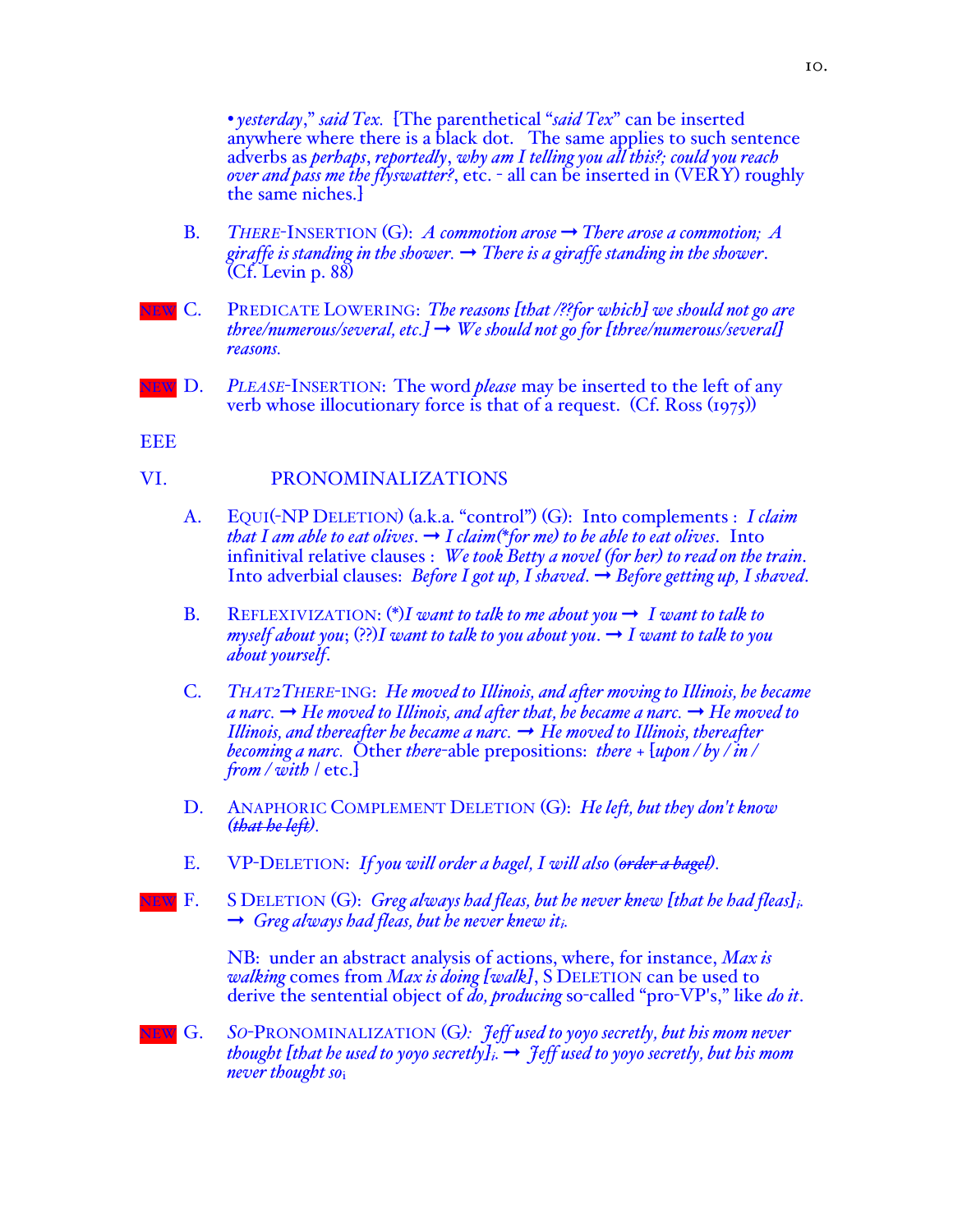*• yesterday*," *said Tex.* [The parenthetical "*said Tex*" can be inserted anywhere where there is a black dot. The same applies to such sentence adverbs as *perhaps*, *reportedly*, *why am I telling you all this?; could you reach over and pass me the flyswatter?*, etc. - all can be inserted in (VERY) roughly the same niches.]

- B. *THERE*-INSERTION  $(G)$ : *A commotion arose*  $\rightarrow$  *There arose a commotion; A giraffe is standing in the shower.* ➞ *There is a giraffe standing in the shower*. (Cf. Levin p. 88)
- NEW C. PREDICATE LOWERING: *The reasons [that /??for which] we should not go are three/numerous/several, etc.]*  $\rightarrow$  *We should not go for [three/numerous/several] reasons.*
- NEW D. *PLEASE*-INSERTION: The word *please* may be inserted to the left of any verb whose illocutionary force is that of a request. (Cf. Ross (1975))

**EEE** 

# VI. PRONOMINALIZATIONS

- A. EQUI(-NP DELETION) (a.k.a. "control") (G): Into complements : *I claim that I am able to eat olives.*  $\rightarrow$  *I claim*(\**for me) to be able to eat olives.* Into infinitival relative clauses : *We took Betty a novel (for her) to read on the train*. Into adverbial clauses: *Before I got up, I shaved*. ➞ *Before getting up, I shaved*.
- B. REFLEXIVIZATION:  $(*)$ *I want to talk to me about you*  $\rightarrow$  *I want to talk to myself about you*; (??)*I* want to talk to you about you.  $\rightarrow$  *I want to talk to you about yourself*.
- C. *THAT2THERE*-ING: *He moved to Illinois, and after moving to Illinois, he became a narc.*  $\rightarrow$  *He moved to Illinois, and after that, he became a narc.*  $\rightarrow$  *He moved to Illinois, and thereafter he became a narc.*  $\rightarrow$  *He moved to Illinois, thereafter becoming a narc.* Other *there*-able prepositions: *there* <sup>+</sup>[*upon / by / in / from / with* / etc.]
- D. ANAPHORIC COMPLEMENT DELETION (G): *He left, but they don't know (that he left).*
- E. VP-DELETION: *If you will order a bagel, I will also (order a bagel).*
- NEW F. S DELETION (G): *Greg always had fleas, but he never knew [that he had fleas]i.*  ➞ *Greg always had fleas, but he never knew iti.*

NB: under an abstract analysis of actions, where, for instance, *Max is walking* comes from *Max is doing [walk]*, S DELETION can be used to derive the sentential object of *do, producing* so-called "pro-VP's," like *do it*.

NEW G. *SO*-PRONOMINALIZATION (G*): Jeff used to yoyo secretly, but his mom never thought [that he used to yoyo secretly]*<sup>*i.*  $\rightarrow$  *feff used to yoyo secretly, but his mom*</sup> *never thought so*i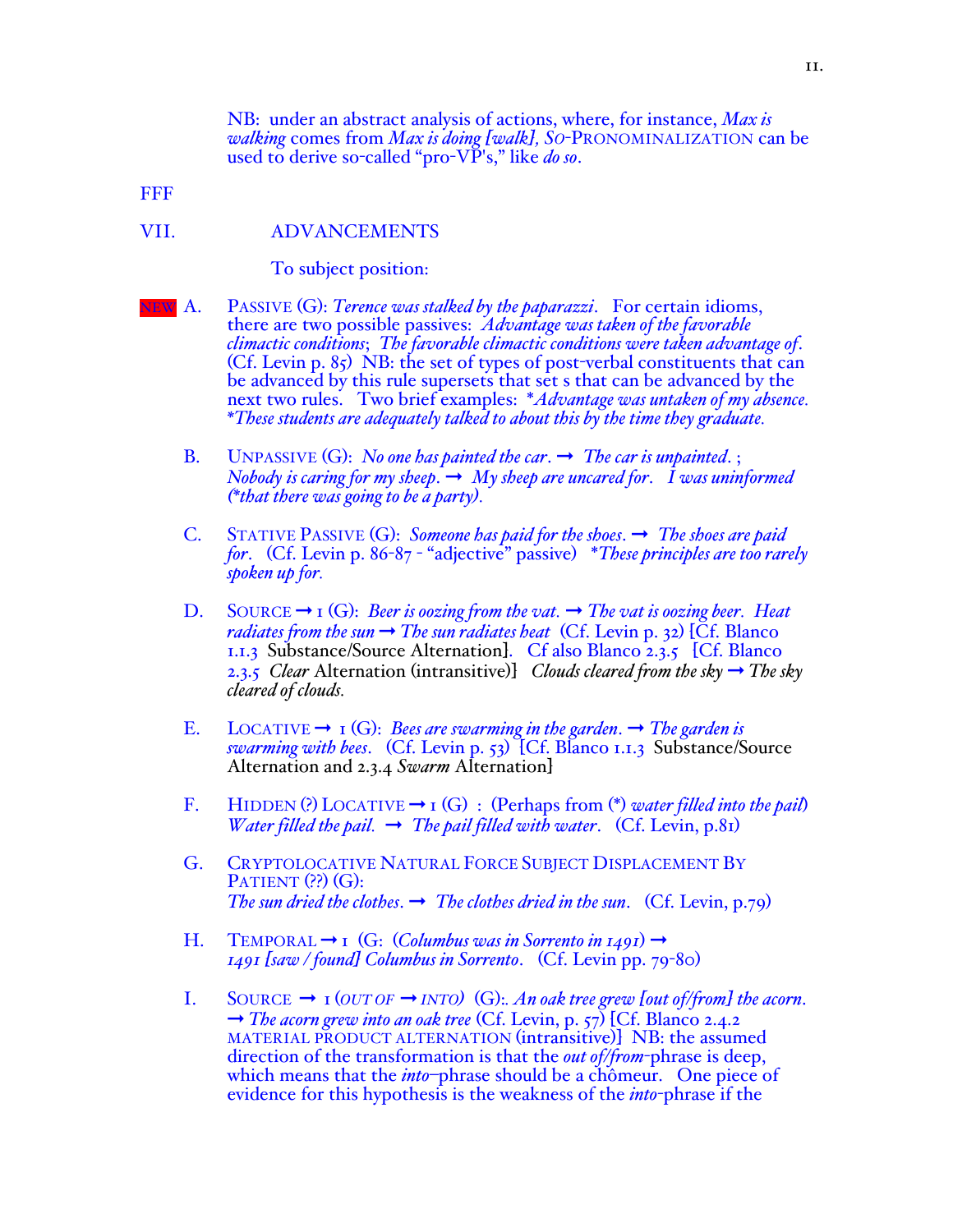NB: under an abstract analysis of actions, where, for instance, *Max is walking* comes from *Max is doing [walk], SO*-PRONOMINALIZATION can be used to derive so-called "pro-VP's," like *do so*.

FFF

### VII. ADVANCEMENTS

To subject position:

- NEW A. PASSIVE (G): *Terence was stalked by the paparazzi*. For certain idioms, there are two possible passives: *Advantage was taken of the favorable climactic conditions*; *The favorable climactic conditions were taken advantage of*. (Cf. Levin p. 85) NB: the set of types of post-verbal constituents that can be advanced by this rule supersets that set s that can be advanced by the next two rules. Two brief examples: \**Advantage was untaken of my absence. \*These students are adequately talked to about this by the time they graduate.*
	- B. UNPASSIVE  $(G)$ : *No one has painted the car.*  $\rightarrow$  *The car is unpainted.*; *Nobody is caring for my sheep.*  $\rightarrow$  *My sheep are uncared for. I was uninformed (\*that there was going to be a party).*
	- C. STATIVE PASSIVE  $(G)$ : *Someone has paid for the shoes*.  $\rightarrow$  *The shoes are paid for*. (Cf. Levin p. 86-87 - "adjective" passive) \**These principles are too rarely spoken up for.*
	- D. SOURCE  $\rightarrow$  1 (G): *Beer is oozing from the vat.*  $\rightarrow$  *The vat is oozing beer. Heat radiates from the sun*  $\rightarrow$  *The sun radiates heat* (Cf. Levin p. 32) [Cf. Blanco 1.1.3 Substance/Source Alternation]. Cf also Blanco 2.3.5 [Cf. Blanco 2.3.5 *Clear* Alternation (intransitive)] *Clouds cleared from the sky*  $\rightarrow$  *The sky cleared of clouds.*
	- E. LOCATIVE  $\rightarrow$  1 (G): *Bees are swarming in the garden*.  $\rightarrow$  *The garden is swarming with bees*. (Cf. Levin p. 53) [Cf. Blanco 1.1.3 Substance/Source Alternation and 2.3.4 *Swarm* Alternation]
	- F. HIDDEN (?) LOCATIVE  $\rightarrow$  1 (G) : (Perhaps from (\*) *water filled into the pail*) *Water filled the pail.*  $\rightarrow$  *The pail filled with water.* (Cf. Levin, p.81)
	- G. CRYPTOLOCATIVE NATURAL FORCE SUBJECT DISPLACEMENT BY PATIENT (??) (G): *The sun dried the clothes.*  $\rightarrow$  *The clothes dried in the sun.* (Cf. Levin, p.79)
	- H. TEMPORAL  $\rightarrow$  1 (G: (*Columbus was in Sorrento in 1491*)  $\rightarrow$ *1491 [saw / found] Columbus in Sorrento*. (Cf. Levin pp. 79-80)
	- I. SOURCE ➞ 1 (*OUT OF* ➞ *INTO)* (G):*. An oak tree grew [out of/from] the acorn*. ➞ *The acorn grew into an oak tree* (Cf. Levin, p. 57) [Cf. Blanco 2.4.2 MATERIAL PRODUCT ALTERNATION (intransitive)] NB: the assumed direction of the transformation is that the *out of/from*-phrase is deep, which means that the *into*–phrase should be a chômeur. One piece of evidence for this hypothesis is the weakness of the *into*-phrase if the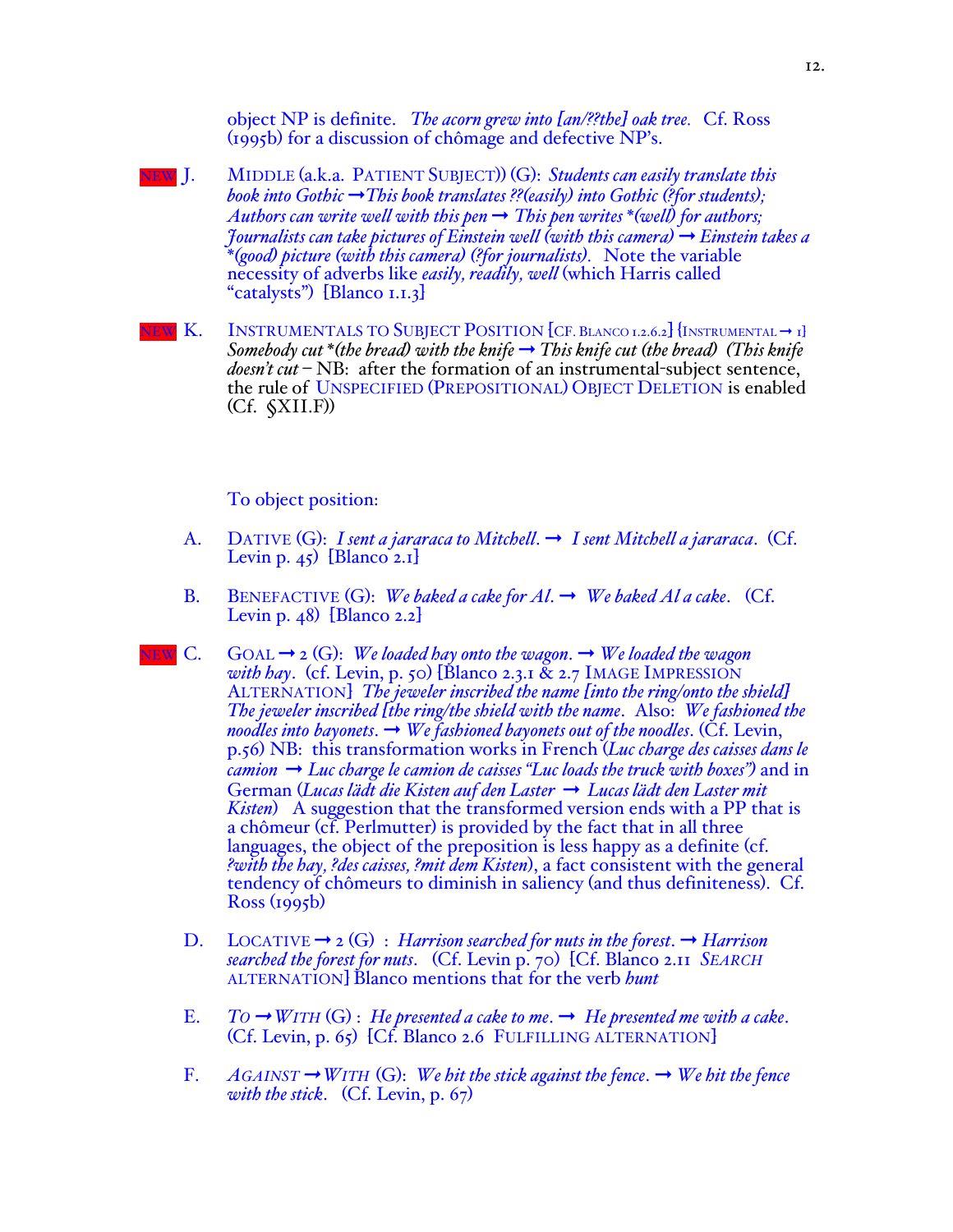object NP is definite. *The acorn grew into [an/??the] oak tree.* Cf. Ross (1995b) for a discussion of chômage and defective NP's.

- NEW J. MIDDLE (a.k.a. PATIENT SUBJECT)) (G): *Students can easily translate this book into Gothic* ➞*This book translates ??(easily) into Gothic (?for students); Authors can write well with this pen*  $\rightarrow$  *This pen writes*  $*($ *well* $)$  for authors; *Journalists can take pictures of Einstein well (with this camera)* ➞ *Einstein takes a \*(good) picture (with this camera) (?for journalists).* Note the variable necessity of adverbs like *easily, readily, well* (which Harris called "catalysts") [Blanco 1.1.3]
- W K. INSTRUMENTALS TO SUBJECT POSITION  $[CF$ . BLANCO 1.2.6.2] {INSTRUMENTAL  $\rightarrow$  1} *Somebody cut* \**(the bread)* with the knife  $\rightarrow$  *This knife cut (the bread) (This knife doesn't cut*  $-\text{NB}$ : after the formation of an instrumental-subject sentence, the rule of UNSPECIFIED (PREPOSITIONAL) OBJECT DELETION is enabled (Cf. §XII.F))

#### To object position:

- A. DATIVE  $(G)$ : *I sent a jararaca to Mitchell*.  $\rightarrow$  *I sent Mitchell a jararaca*. (Cf. Levin p. 45) [Blanco 2.1]
- B. BENEFACTIVE (G): *We baked a cake for Al*. ➞ *We baked Al a cake*. (Cf. Levin p.  $48)$  [Blanco 2.2]
- $N_{\text{H}}$  C. GOAL  $\rightarrow$  2 (G): *We loaded hay onto the wagon*.  $\rightarrow$  *We loaded the wagon with hay*. (cf. Levin, p. 50) [Blanco 2.3.1 & 2.7 IMAGE IMPRESSION ALTERNATION] *The jeweler inscribed the name [into the ring/onto the shield] The jeweler inscribed [the ring/the shield with the name*. Also: *We fashioned the noodles into bayonets.*  $\rightarrow$  *We fashioned bayonets out of the noodles.* (Cf. Levin, p.56) NB: this transformation works in French (*Luc charge des caisses dans le camion*  $\rightarrow$  *Luc charge le camion de caisses "Luc loads the truck with boxes"*) and in German (*Lucas lädt die Kisten auf den Laster* ➞ *Lucas lädt den Laster mit Kisten*) A suggestion that the transformed version ends with a PP that is a chômeur (cf. Perlmutter) is provided by the fact that in all three languages, the object of the preposition is less happy as a definite (cf. *?with the hay, ?des caisses, ?mit dem Kisten*), a fact consistent with the general tendency of chômeurs to diminish in saliency (and thus definiteness). Cf. Ross (1995b)
	- D. LOCATIVE  $\rightarrow$  2 (G) : *Harrison searched for nuts in the forest*.  $\rightarrow$  *Harrison searched the forest for nuts*. (Cf. Levin p. 70) [Cf. Blanco 2.11 *SEARCH* ALTERNATION] Blanco mentions that for the verb *hunt*
	- E. *TO*  $\rightarrow$  *WITH* (G) : *He presented a cake to me.*  $\rightarrow$  *He presented me with a cake.* (Cf. Levin, p. 65) [Cf. Blanco 2.6 FULFILLING ALTERNATION]
	- F. *AGAINST* ➞*WITH* (G): *We hit the stick against the fence*. ➞ *We hit the fence with the stick*. (Cf. Levin, p. 67)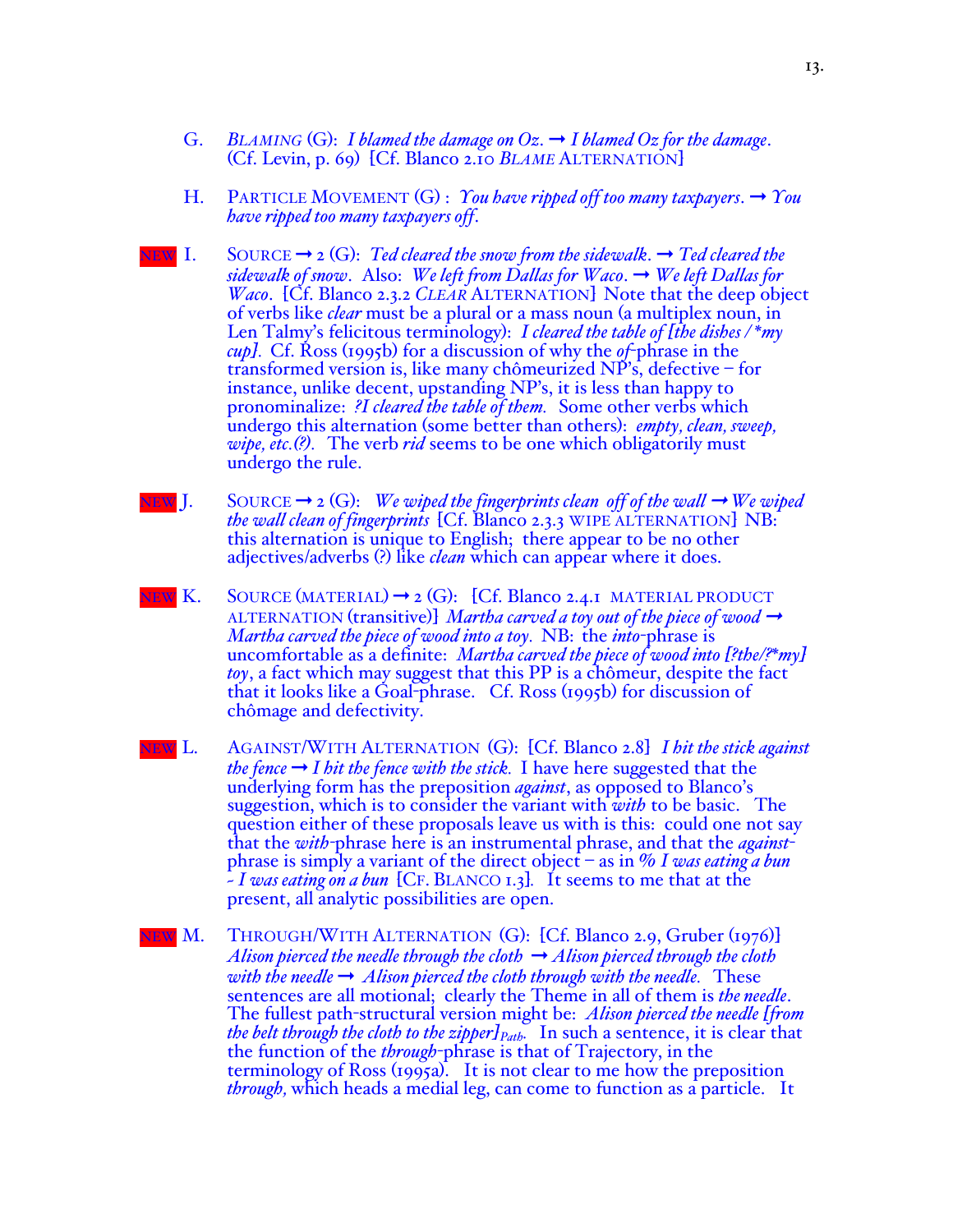- G. *BLAMING* (G): *I blamed the damage on Oz.*  $\rightarrow$  *I blamed Oz for the damage.* (Cf. Levin, p. 69) [Cf. Blanco 2.10 *BLAME* ALTERNATION]
- H. PARTICLE MOVEMENT  $(G)$ : *You have ripped off too many taxpayers*.  $\rightarrow$  *You have ripped too many taxpayers off*.
- NEW I. SOURCE  $\rightarrow$  2 (G): *Ted cleared the snow from the sidewalk*.  $\rightarrow$  *Ted cleared the sidewalk of snow*. Also: *We left from Dallas for Waco*. ➞ *We left Dallas for Waco*. [Cf. Blanco 2.3.2 *CLEAR* ALTERNATION] Note that the deep object of verbs like *clear* must be a plural or a mass noun (a multiplex noun, in Len Talmy's felicitous terminology): *I cleared the table of [the dishes / \*my cup].* Cf. Ross (1995b) for a discussion of why the *of*-phrase in the transformed version is, like many chômeurized NP's, defective – for instance, unlike decent, upstanding NP's, it is less than happy to pronominalize: *?I cleared the table of them.* Some other verbs which undergo this alternation (some better than others): *empty, clean, sweep, wipe, etc.(?).* The verb *rid* seems to be one which obligatorily must undergo the rule.
- NEW J. SOURCE  $\rightarrow$  2 (G): *We wiped the fingerprints clean off of the wall*  $\rightarrow$  *We wiped the wall clean of fingerprints* [Cf. Blanco 2.3.3 WIPE ALTERNATION] NB: this alternation is unique to English; there appear to be no other adjectives/adverbs (?) like *clean* which can appear where it does.
- NEW  $K$ . SOURCE (MATERIAL)  $\rightarrow$  2 (G): [Cf. Blanco 2.4.1 MATERIAL PRODUCT ALTERNATION (transitive)] *Martha carved a toy out of the piece of wood*  $\rightarrow$ *Martha carved the piece of wood into a toy.* NB:the *into*-phrase is uncomfortable as a definite: *Martha carved the piece of wood into [?the/?\*my] toy*, a fact which may suggest that this PP is a chômeur, despite the fact that it looks like a Goal-phrase. Cf. Ross (1995b) for discussion of chômage and defectivity.
- NEW L. AGAINST/WITH ALTERNATION (G): [Cf. Blanco 2.8] *I hit the stick against the* fence  $\rightarrow$  *I hit the fence with the stick.* I have here suggested that the underlying form has the preposition *against*, as opposed to Blanco's suggestion, which is to consider the variant with *with* to be basic. The question either of these proposals leave us with is this: could one not say that the *with-*phrase here is an instrumental phrase, and that the *against*phrase is simply a variant of the direct object – as in % *I was eating a bun ~ I was eating on a bun* [CF. BLANCO 1.3]*.* It seems to me that at the present, all analytic possibilities are open.
- EW M. THROUGH/WITH ALTERNATION (G): [Cf. Blanco 2.9, Gruber (1976)] *Alison pierced the needle through the cloth*  $\rightarrow$  *Alison pierced through the cloth with the needle*  $\rightarrow$  *Alison pierced the cloth through with the needle.* These sentences are all motional; clearly the Theme in all of them is *the needle*. The fullest path-structural version might be: *Alison pierced the needle [from the belt through the cloth to the zipper* $P_{Path}$ . In such a sentence, it is clear that the function of the *through*-phrase is that of Trajectory, in the terminology of Ross (1995a). It is not clear to me how the preposition *through,* which heads a medial leg, can come to function as a particle. It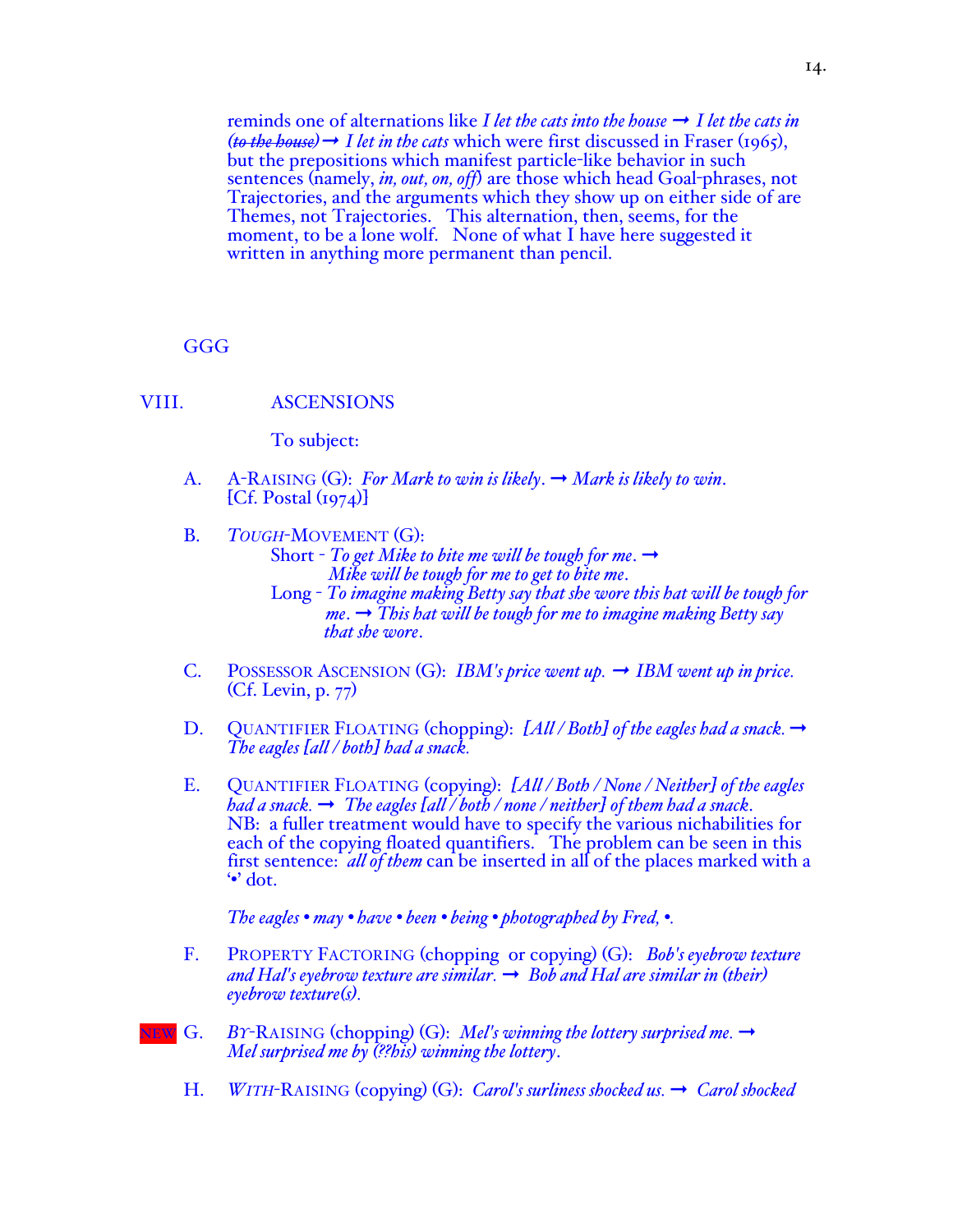reminds one of alternations like *I let the cats into the house*  $\rightarrow$  *I let the cats in*  $(to$  the house)  $\rightarrow$  *I let in the cats* which were first discussed in Fraser (1965), but the prepositions which manifest particle-like behavior in such sentences (namely, *in, out, on, off*) are those which head Goal-phrases, not Trajectories, and the arguments which they show up on either side of are Themes, not Trajectories. This alternation, then, seems, for the moment, to be a lone wolf. None of what I have here suggested it written in anything more permanent than pencil.

**GGG** 

### VIII. ASCENSIONS

To subject:

- A. A-RAISING (G): *For Mark to win is likely*. ➞ *Mark is likely to win*.  $[Cf.$  Postal  $(i974)]$
- B. *TOUGH*-MOVEMENT (G): Short  $-$  *To get Mike to bite me will be tough for me.*  $\rightarrow$  *Mike will be tough for me to get to bite me*. Long - *To imagine making Betty say that she wore this hat will be tough for me*. ➞ *This hat will be tough for me to imagine making Betty say that she wore*.
- C. POSSESSOR ASCENSION (G): *IBM's price went up.* ➞ *IBM went up in price.* (Cf. Levin, p. 77)
- D. QUANTIFIER FLOATING (chopping):  $[All/Both]$  of the eagles had a snack.  $\rightarrow$ *The eagles [all / both] had a snack.*
- E. QUANTIFIER FLOATING (copying): *[All / Both / None / Neither] of the eagles had a snack.*  $\rightarrow$  *The eagles*  $\lceil \frac{all}{\bigr/} \cdot \frac{both}{\bigr/} \cdot \frac{ne}{t} \cdot \frac{then}{the} \cdot \frac{bad}{a} \cdot \frac{anack}{b}$ *.* NB: a fuller treatment would have to specify the various nichabilities for each of the copying floated quantifiers. The problem can be seen in this first sentence: *all of them* can be inserted in all of the places marked with a '•' dot.

*The eagles • may • have • been • being • photographed by Fred, •.*

- F. PROPERTY FACTORING (chopping or copying) (G): *Bob's eyebrow texture*   $\alpha$  *and Hal's eyebrow texture are similar.*  $\rightarrow$  *Bob and Hal are similar in (their) eyebrow texture(s).*
- NEW G. *BY*-RAISING (chopping) (G): *Mel's winning the lottery surprised me.* ➞ *Mel surprised me by (??his) winning the lottery*.
	- H. *WITH*-RAISING (copying) (G): *Carol's surliness shocked us.* ➞ *Carol shocked*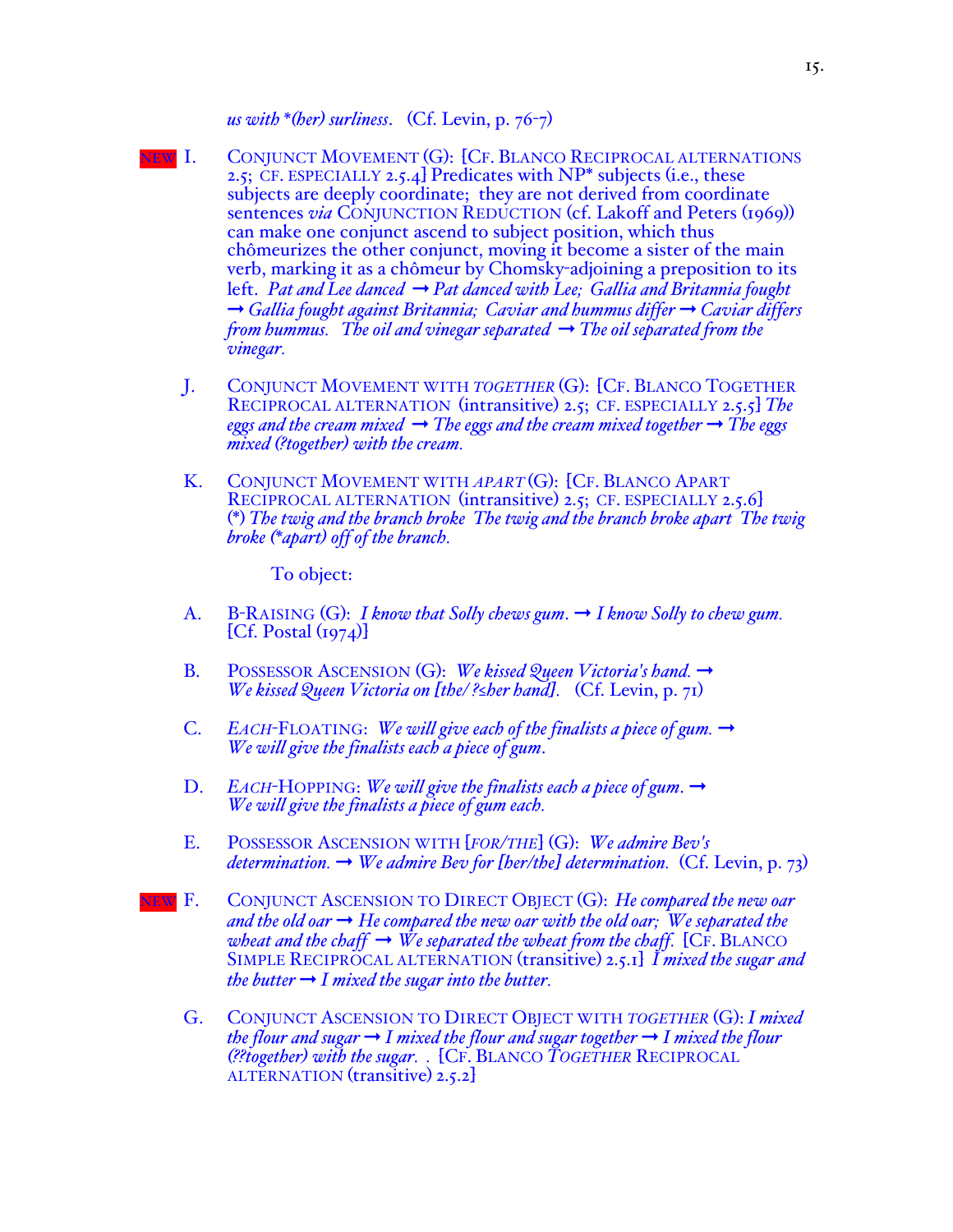*us with \*(her) surliness*. (Cf. Levin, p. 76-7)

- NEW I. CONJUNCT MOVEMENT (G): [CF. BLANCO RECIPROCAL ALTERNATIONS 2.5; CF. ESPECIALLY 2.5.4] Predicates with NP\* subjects (i.e., these subjects are deeply coordinate; they are not derived from coordinate sentences *via* CONJUNCTION REDUCTION (cf. Lakoff and Peters (1969)) can make one conjunct ascend to subject position, which thus chômeurizes the other conjunct, moving it become a sister of the main verb, marking it as a chômeur by Chomsky-adjoining a preposition to its left. *Pat and Lee danced* ➞ *Pat danced with Lee; Gallia and Britannia fought*  ➞ *Gallia fought against Britannia; Caviar and hummus differ* ➞ *Caviar differs from hummus. The oil and vinegar separated*  $\rightarrow$  *The oil separated from the vinegar.*
	- J. CONJUNCT MOVEMENT WITH *TOGETHER* (G): [CF. BLANCO TOGETHER RECIPROCAL ALTERNATION (intransitive) 2.5; CF. ESPECIALLY 2.5.5] *The eggs and the cream mixed*  $\rightarrow$  *The eggs and the cream mixed together*  $\rightarrow$  *The eggs mixed (?together) with the cream.*
	- K. CONJUNCT MOVEMENT WITH *APART* (G): [CF. BLANCO APART RECIPROCAL ALTERNATION (intransitive) 2.5; CF. ESPECIALLY 2.5.6] (\*) *The twig and the branch broke The twig and the branch broke apart The twig broke (\*apart) off of the branch.*

To object:

- A. B-RAISING (G): *I know that Solly chews gum*. ➞ *I know Solly to chew gum.*  $[Cf.$  Postal  $(i974)$
- B. POSSESSOR ASCENSION (G): *We kissed Queen Victoria's hand.* ➞ *We kissed Queen Victoria on [the/ ?≤her hand].* (Cf. Levin, p. 71)
- C. *EACH*-FLOATING: *We will give each of the finalists a piece of gum.* ➞ *We will give the finalists each a piece of gum*.
- D. *EACH*-HOPPING: *We will give the finalists each a piece of gum*.  $\rightarrow$ *We will give the finalists a piece of gum each.*
- E. POSSESSOR ASCENSION WITH [*FOR/THE*] (G): *We admire Bev's determination.*  $\rightarrow$  *We admire Bev for [her/the] determination.* (Cf. Levin, p. 73)
- EW F. CONJUNCT ASCENSION TO DIRECT OBJECT (G): *He compared the new oar* and the old oar  $\rightarrow$  He compared the new oar with the old oar; We separated the *wheat and the chaff*  $\rightarrow$  *We separated the wheat from the chaff.* [CF. BLANCO] SIMPLE RECIPROCAL ALTERNATION (transitive) 2.5.1] *I mixed the sugar and the butter*  $\rightarrow$  *I mixed the sugar into the butter.* 
	- G. CONJUNCT ASCENSION TO DIRECT OBJECT WITH *TOGETHER* (G): *I mixed the flour and sugar*  $\rightarrow$  *I mixed the flour and sugar together*  $\rightarrow$  *I mixed the flour (??together) with the sugar. .* [CF. BLANCO *TOGETHER* RECIPROCAL ALTERNATION (transitive) 2.5.2]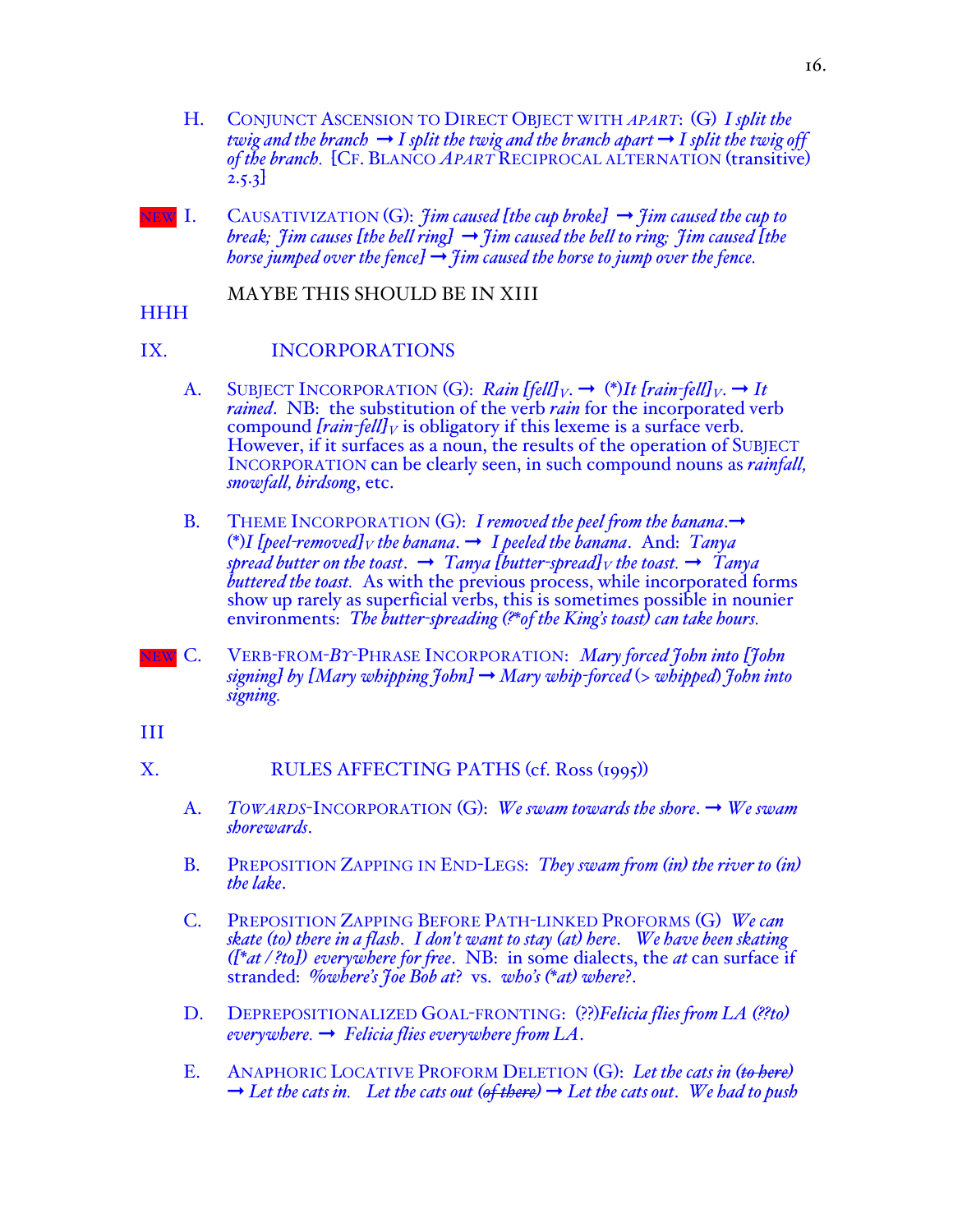- H. CONJUNCT ASCENSION TO DIRECT OBJECT WITH *APART*: (G) *I split the twig and the branch*  $\rightarrow$  *I split the twig and the branch apart*  $\rightarrow$  *I split the twig off of the branch.* [CF. BLANCO *APART* RECIPROCAL ALTERNATION (transitive) 2.5.3]
- $NEN$  I. CAUSATIVIZATION (G): *Iim caused [the cup broke]*  $\rightarrow$  *fim caused the cup to break; Jim causes [the bell ring]*  $\rightarrow$  *Jim caused the bell to ring; Jim caused [the horse jumped over the fence]*  $\rightarrow$   $\overline{f}$ *im caused the horse to jump over the fence.*

# MAYBE THIS SHOULD BE IN XIII

HHH

# IX. INCORPORATIONS

- A. SUBJECT INCORPORATION (G): *Rain [fell]*<sub>*V*</sub>.  $\rightarrow$  (\*)*It [rain-fell]*<sub>*V*</sub>.  $\rightarrow$  *It rained*. NB: the substitution of the verb *rain* for the incorporated verb compound  $\{rain\text{-}fell\}$  is obligatory if this lexeme is a surface verb.<br>However, if it surfaces as a noun, the results of the operation of SUBJECT INCORPORATION can be clearly seen, in such compound nouns as *rainfall, snowfall, birdsong*, etc.
- B. THEME INCORPORATION (G): *I removed the peel from the banana*. → (\*)*I* [peel-removed]<sub>*V*</sub> the banana.  $\rightarrow$  *I* peeled the banana. And: *Tanya spread butter on the toast.*  $\rightarrow$  *Tanya [butter-spread]V the toast.*  $\rightarrow$  *Tanya buttered the toast.* As with the previous process, while incorporated forms show up rarely as superficial verbs, this is sometimes possible in nounier environments: *The butter-spreading (?\*of the King's toast) can take hours.*
- NEW C. VERB*-*FROM-*BY-*PHRASE INCORPORATION: *Mary forced John into [John signing] by [Mary whipping John]* ➞ *Mary whip-forced* (> *whipped*) *John into signing.*
- III

# X. RULES AFFECTING PATHS (cf. Ross (1995))

- A. *TOWARDS*-INCORPORATION (G): *We swam towards the shore*. ➞ *We swam shorewards*.
- B. PREPOSITION ZAPPING IN END-LEGS: *They swam from (in) the river to (in) the lake*.
- C. PREPOSITION ZAPPING BEFORE PATH-LINKED PROFORMS (G) *We can skate (to) there in a flash*. *I don't want to stay (at) here*. *We have been skating ([\*at / ?to]) everywhere for free*. NB: in some dialects, the *at* can surface if stranded: %*where's Joe Bob at*? vs. *who's (\*at) where*?.
- D. DEPREPOSITIONALIZED GOAL-FRONTING: (??)*Felicia flies from LA (??to) everywhere.* ➞ *Felicia flies everywhere from LA*.
- E. ANAPHORIC LOCATIVE PROFORM DELETION (G): *Let the cats in (to here)*  $\rightarrow$  *Let the cats in.* Let the cats out (of there)  $\rightarrow$  Let the cats out. We had to push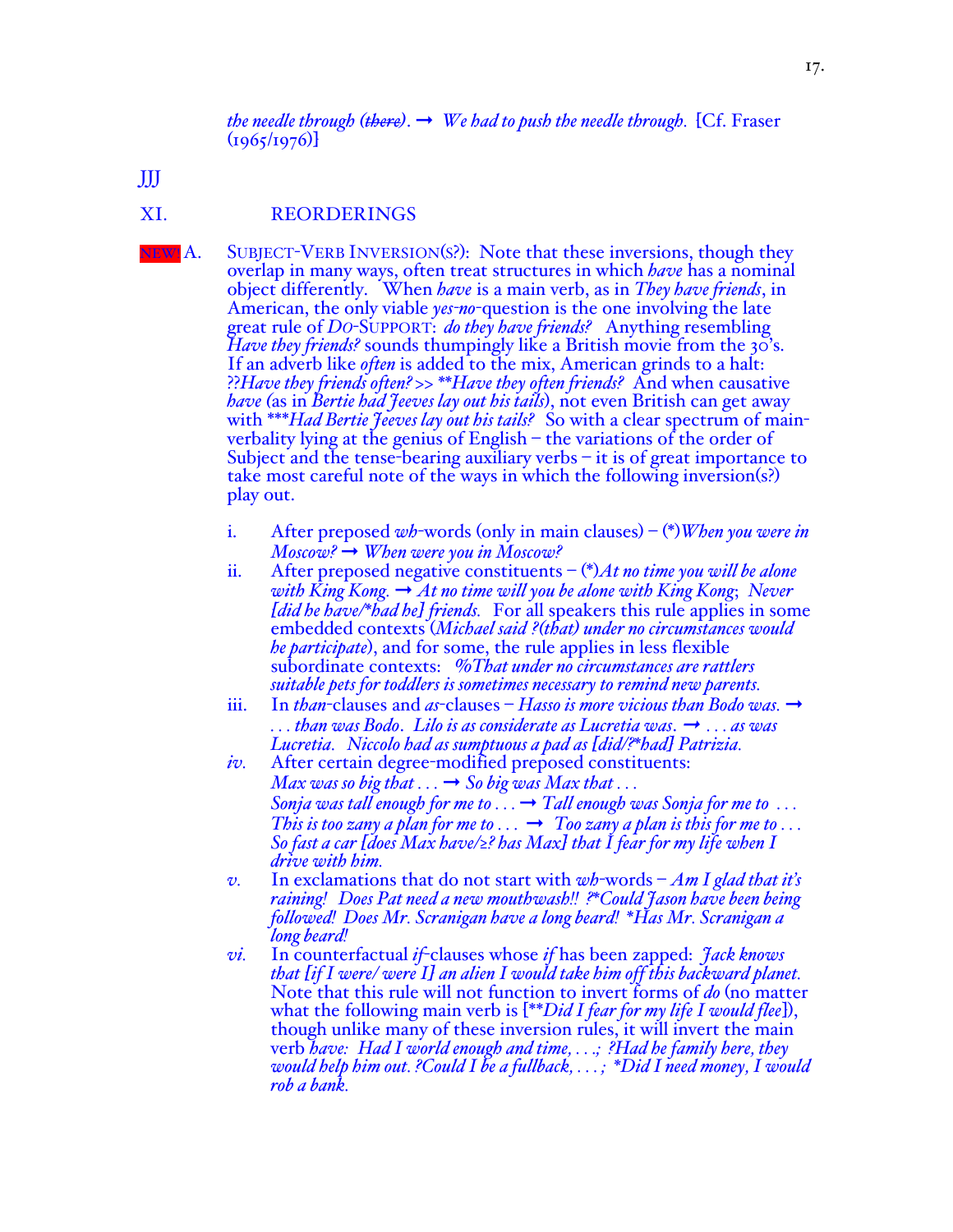*the needle through (there).*  $\rightarrow$  *We had to push the needle through.* [Cf. Fraser  $(1965/1976)$ 

JJJ

### XI. REORDERINGS

NEW! A. SUBJECT-VERB INVERSION(S?): Note that these inversions, though they overlap in many ways, often treat structures in which *have* has a nominal object differently. When *have* is a main verb, as in *They have friends*, in American, the only viable *yes-no*-question is the one involving the late great rule of *DO*-SUPPORT: *do they have friends?* Anything resembling *Have they friends?* sounds thumpingly like a British movie from the 30's. If an adverb like *often* is added to the mix, American grinds to a halt: ??*Have they friends often? >> \*\*Have they often friends?* And when causative *have (*as in *Bertie had Jeeves lay out his tails*), not even British can get away with \*\*\**Had Bertie Jeeves lay out his tails?* So with a clear spectrum of mainverbality lying at the genius of English – the variations of the order of Subject and the tense-bearing auxiliary verbs – it is of great importance to take most careful note of the ways in which the following inversion(s?) play out.

- i. After preposed *wh*-words (only in main clauses) (\*)*When you were in Moscow?* ➞ *When were you in Moscow?*
- ii. After preposed negative constituents (\*)*At no time you will be alone with King Kong.* ➞ *At no time will you be alone with King Kong*; *Never [did he have/\*had he] friends.* For all speakers this rule applies in some embedded contexts (*Michael said ?(that) under no circumstances would he participate*), and for some, the rule applies in less flexible subordinate contexts: %*That under no circumstances are rattlers suitable pets for toddlers is sometimes necessary to remind new parents.*
- iii. In *than*-clauses and *as*-clauses *Hasso is more vicious than Bodo was.*  $\rightarrow$ *. . . than was Bodo*. *Lilo is as considerate as Lucretia was*. ➞ *. . . as was Lucretia. Niccolo had as sumptuous a pad as [did/?\*had] Patrizia.*
- *iv.* After certain degree-modified preposed constituents: *Max was so big that*  $\dots \rightarrow$  *So big was Max that*  $\dots$ *Sonja was tall enough for me to . . . → Tall enough was Sonja for me to ... This is too zany a plan for me to ...*  $\rightarrow$  *Too zany a plan is this for me to ... So fast a car [does Max have/≥? has Max] that I fear for my life when I drive with him.*
- *v.* In exclamations that do not start with *wh*-words *Am I glad that it's raining! Does Pat need a new mouthwash!! ?\*Could Jason have been being followed! Does Mr. Scranigan have a long beard! \*Has Mr. Scranigan a long beard!*
- *vi.* In counterfactual *if*-clauses whose *if* has been zapped: *Jack knows that [if I were/ were I] an alien I would take him off this backward planet.*  Note that this rule will not function to invert forms of *do* (no matter what the following main verb is [\*\**Did I fear for my life I would flee*]), though unlike many of these inversion rules, it will invert the main verb *bave: Had I world enough and time*, ...; ?*Had he family here, they* verb *have: Had I world enough and time, . . .; ?Had he family here, they would help him out. ?Could I be a fullback, . . . ; \*Did I need money, I would rob a bank.*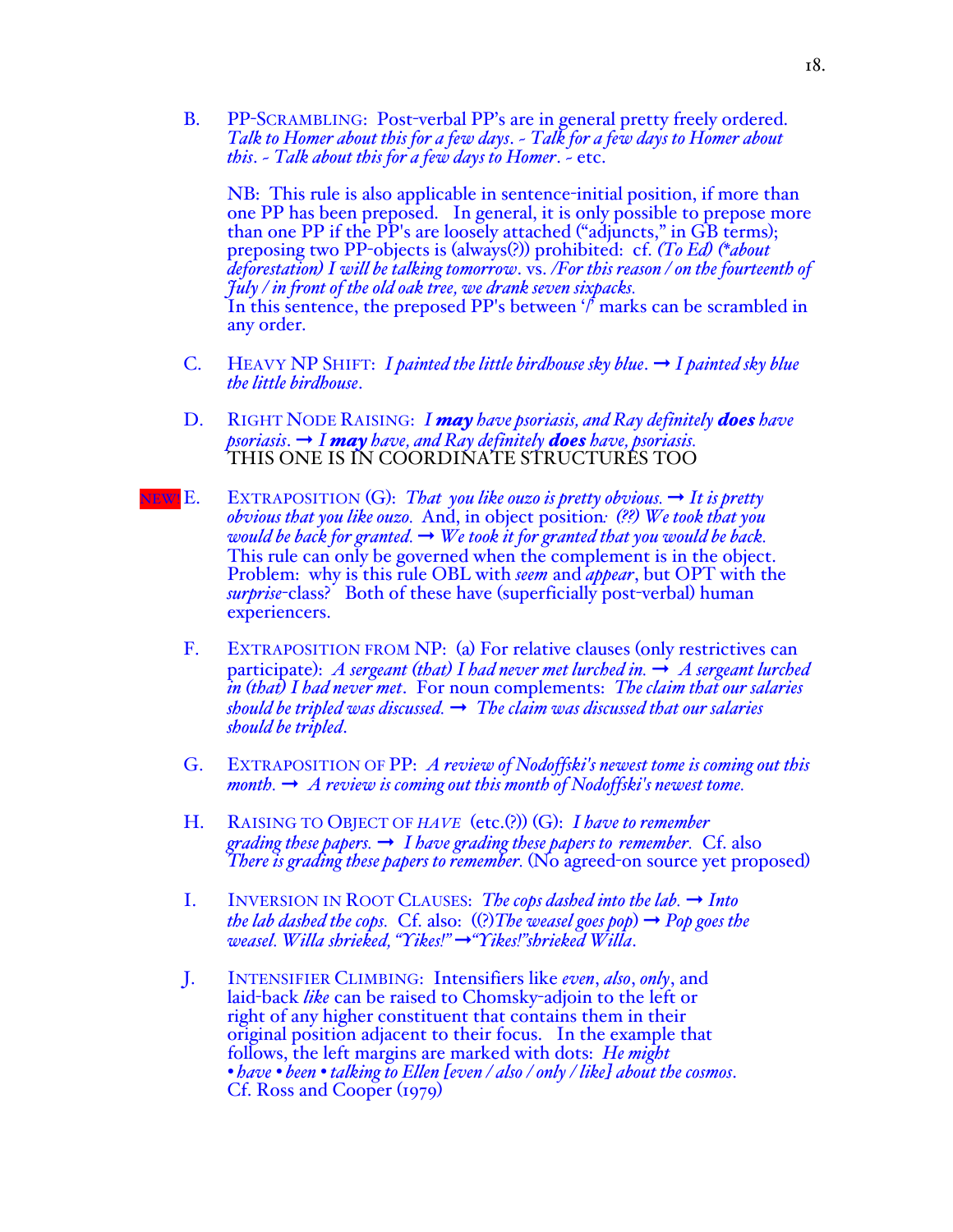B. PP-SCRAMBLING: Post-verbal PP's are in general pretty freely ordered. *Talk to Homer about this for a few days*. ~ *Talk for a few days to Homer about this*. ~ *Talk about this for a few days to Homer*. ~ etc.

NB: This rule is also applicable in sentence-initial position, if more than one PP has been preposed. In general, it is only possible to prepose more than one PP if the PP's are loosely attached ("adjuncts," in GB terms); preposing two PP-objects is (always(?)) prohibited: cf. *(To Ed) (\*about deforestation) I will be talking tomorrow*. vs. */For this reason / on the fourteenth of July / in front of the old oak tree, we drank seven sixpacks.* In this sentence, the preposed PP's between '/' marks can be scrambled in any order.

- C. HEAVY NP SHIFT: *I painted the little birdhouse sky blue*. ➞ *I painted sky blue the little birdhouse*.
- D. RIGHT NODE RAISING: *I may have psoriasis, and Ray definitely does have psoriasis*. ➞ *I may have, and Ray definitely does have, psoriasis.* THIS ONE IS IN COORDINATE STRUCTURES TOO
- NEW! **E.** EXTRAPOSITION (G): *That you like ouzo is pretty obvious.*  $\rightarrow$  *It is pretty obvious that you like ouzo.* And, in object position*: (??) We took that you would be back for granted.*  $\rightarrow$  *We took it for granted that you would be back.* This rule can only be governed when the complement is in the object. Problem: why is this rule OBL with *seem* and *appear*, but OPT with the *surprise*-class? Both of these have (superficially post-verbal) human experiencers.
	- F. EXTRAPOSITION FROM NP: (a) For relative clauses (only restrictives can participate): *A sergeant (that) I had never met lurched in.*  $\rightarrow$  *A sergeant lurched in (that) I had never met*. For noun complements: *The claim that our salaries should be tripled was discussed.* ➞ *The claim was discussed that our salaries should be tripled*.
	- G. EXTRAPOSITION OF PP: *A review of Nodoffski's newest tome is coming out this month.*  $\rightarrow$  *A review is coming out this month of Nodoffski's newest tome.*
	- H. RAISING TO OBJECT OF *HAVE* (etc.(?)) (G): *I have to remember grading these papers.* ➞ *I have grading these papers to remember.* Cf. also *There is grading these papers to remember.* (No agreed-on source yet proposed)
	- I. INVERSION IN ROOT CLAUSES: *The cops dashed into the lab.*  $\rightarrow$  *Into the lab dashed the cops.* Cf. also:  $(\%)$ *The weasel goes pop*)  $\rightarrow$  *Pop goes the weasel. Willa shrieked, "Yikes!"* ➞*"Yikes!"shrieked Willa*.
	- J. INTENSIFIER CLIMBING: Intensifiers like *even*, *also*, *only*, and laid-back *like* can be raised to Chomsky-adjoin to the left or right of any higher constituent that contains them in their original position adjacent to their focus. In the example that follows, the left margins are marked with dots: *He might • have • been • talking to Ellen [even / also / only / like] about the cosmos*. Cf. Ross and Cooper (1979)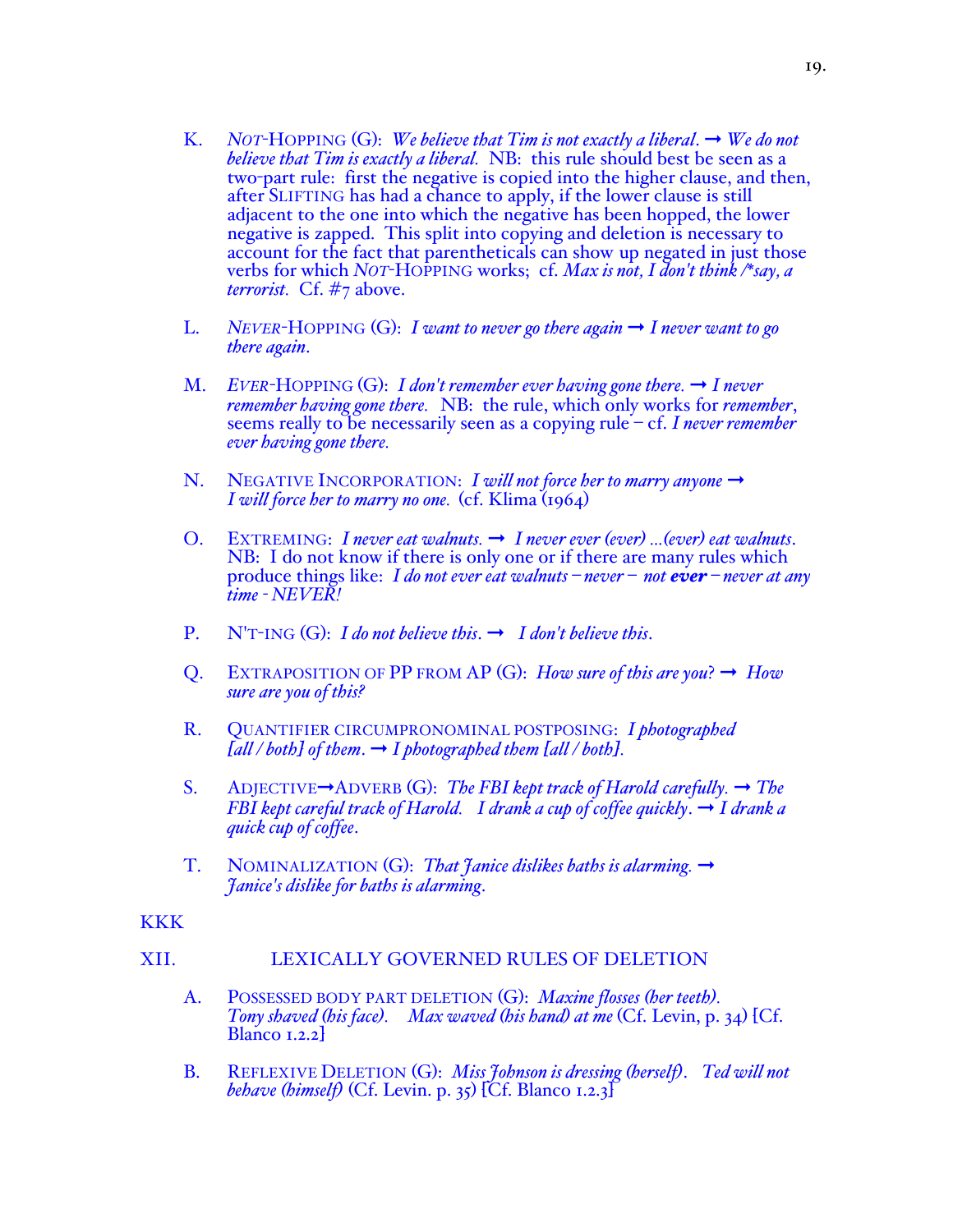- K. *NOT*-HOPPING  $(G)$ : *We believe that Tim is not exactly a liberal.*  $\rightarrow$  *We do not believe that Tim is exactly a liberal.* NB: this rule should best be seen as a two-part rule: first the negative is copied into the higher clause, and then, after SLIFTING has had a chance to apply, if the lower clause is still adjacent to the one into which the negative has been hopped, the lower negative is zapped. This split into copying and deletion is necessary to account for the fact that parentheticals can show up negated in just those verbs for which *NOT*-HOPPING works; cf. *Max is not, I don't think /\*say, a terrorist.* Cf. #7 above.
- L. *NEVER*-HOPPING  $(G)$ : *I want to never go there again*  $\rightarrow$  *I never want to go there again*.
- M. *EVER*-HOPPING  $(G)$ : *I don't remember ever having gone there.*  $\rightarrow$  *I never remember having gone there.* NB: the rule, which only works for *remember*, seems really to be necessarily seen as a copying rule – cf. *I never remember ever having gone there.*
- N. NEGATIVE INCORPORATION: *I will not force her to marry anyone* → *I will force her to marry no one.* (cf. Klima (1964)
- O. EXTREMING: *I* never eat walnuts.  $\rightarrow$  *I* never ever (ever) ...(ever) eat walnuts. NB: I do not know if there is only one or if there are many rules which produce things like: *I do not ever eat walnuts – never – not ever – never at any time - NEVER!*
- P.  $N'T-ING(G):$  *I do not believe this.*  $\rightarrow$  *I don't believe this.*
- Q. EXTRAPOSITION OF PP FROM AP  $(G)$ : *How sure of this are you*?  $\rightarrow$  *How sure are you of this?*
- R. QUANTIFIER CIRCUMPRONOMINAL POSTPOSING: *I photographed*   $[$ *all / both* $]$  *of them.*  $\rightarrow$  *I photographed them*  $[$ *all / both* $]$ *.*
- S. ADJECTIVE➞ADVERB (G): *The FBI kept track of Harold carefully.* ➞ *The FBI kept careful track of Harold. I drank a cup of coffee quickly*. ➞ *I drank a quick cup of coffee*.
- T. NOMINALIZATION (G): *That Janice dislikes baths is alarming.* ➞ *Janice's dislike for baths is alarming*.

### **KKK**

### XII. LEXICALLY GOVERNED RULES OF DELETION

- A. POSSESSED BODY PART DELETION (G): *Maxine flosses (her teeth). Tony shaved (his face). Max waved (his hand) at me* (Cf. Levin, p. 34) [Cf. Blanco 1.2.2]
- B. REFLEXIVE DELETION (G): *Miss Johnson is dressing (herself)*. *Ted will not behave (himself)* (Cf. Levin. p. 35) [Cf. Blanco 1.2.3]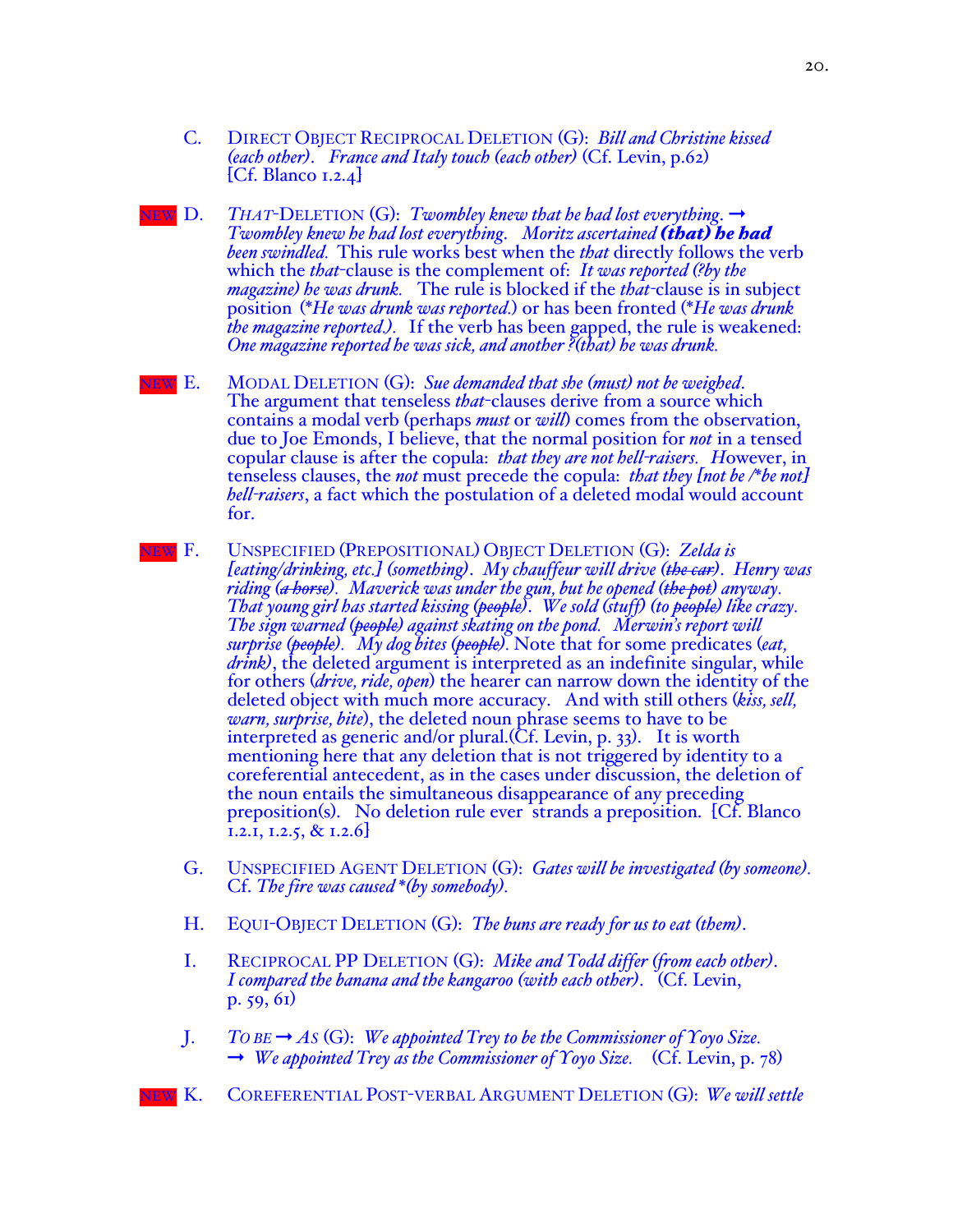- C. DIRECT OBJECT RECIPROCAL DELETION (G): *Bill and Christine kissed (each other)*. *France and Italy touch (each other)* (Cf. Levin, p.62)  $[Cf.$  Blanco 1.2.4 $]$
- EW D. *THAT*-DELETION (G): *Twombley knew that he had lost everything*.  $\rightarrow$ *Twombley knew he had lost everything*. *Moritz ascertained (that) he had been swindled.* This rule works best when the *that* directly follows the verb which the *that*-clause is the complement of: *It was reported (?by the magazine) he was drunk.* The rule is blocked if the *that-*clause is in subject position (\**He was drunk was reported.*) or has been fronted (\**He was drunk the magazine reported.).* If the verb has been gapped, the rule is weakened: *One magazine reported he was sick, and another ?(that) he was drunk.*
- NEW E. MODAL DELETION (G): *Sue demanded that she (must) not be weighed*. The argument that tenseless *that*-clauses derive from a source which contains a modal verb (perhaps *must* or *will*) comes from the observation, due to Joe Emonds, I believe, that the normal position for *not* in a tensed copular clause is after the copula: *that they are not hell-raisers. H*owever, in tenseless clauses, the *not* must precede the copula: *that they [not be /\*be not] hell-raisers*, a fact which the postulation of a deleted modal would account for.
- NEW F. UNSPECIFIED (PREPOSITIONAL) OBJECT DELETION (G): *Zelda is [eating/drinking, etc.] (something)*. *My chauffeur will drive (the car)*. *Henry was riding (a horse). Maverick was under the gun, but he opened (the pot) anyway. That young girl has started kissing (people)*. *We sold (stuff) (to people) like crazy. The sign warned (people) against skating on the pond. Merwin's report will surprise (people). My dog bites (people).* Note that for some predicates (*eat, drink)*, the deleted argument is interpreted as an indefinite singular, while for others (*drive, ride, open*) the hearer can narrow down the identity of the deleted object with much more accuracy. And with still others (*kiss, sell, warn, surprise, bite*), the deleted noun phrase seems to have to be interpreted as generic and/or plural.(Cf. Levin, p. 33). It is worth mentioning here that any deletion that is not triggered by identity to a coreferential antecedent, as in the cases under discussion, the deletion of the noun entails the simultaneous disappearance of any preceding preposition(s). No deletion rule ever strands a preposition. [Cf. Blanco 1.2.1, 1.2.5, & 1.2.6]
	- G. UNSPECIFIED AGENT DELETION (G): *Gates will be investigated (by someone).* Cf. *The fire was caused \*(by somebody).*
	- H. EQUI-OBJECT DELETION (G): *The buns are ready for us to eat (them)*.
	- I. RECIPROCAL PP DELETION (G): *Mike and Todd differ (from each other)*. *I compared the banana and the kangaroo (with each other)*. (Cf. Levin, p. 59, 61)
	- J. *TO BE* ➞ *AS* (G): *We appointed Trey to be the Commissioner of Yoyo Size.* ➞ *We appointed Trey as the Commissioner of Yoyo Size.* (Cf. Levin, p. 78)
- NEW K. COREFERENTIAL POST-VERBAL ARGUMENT DELETION (G): *We will settle*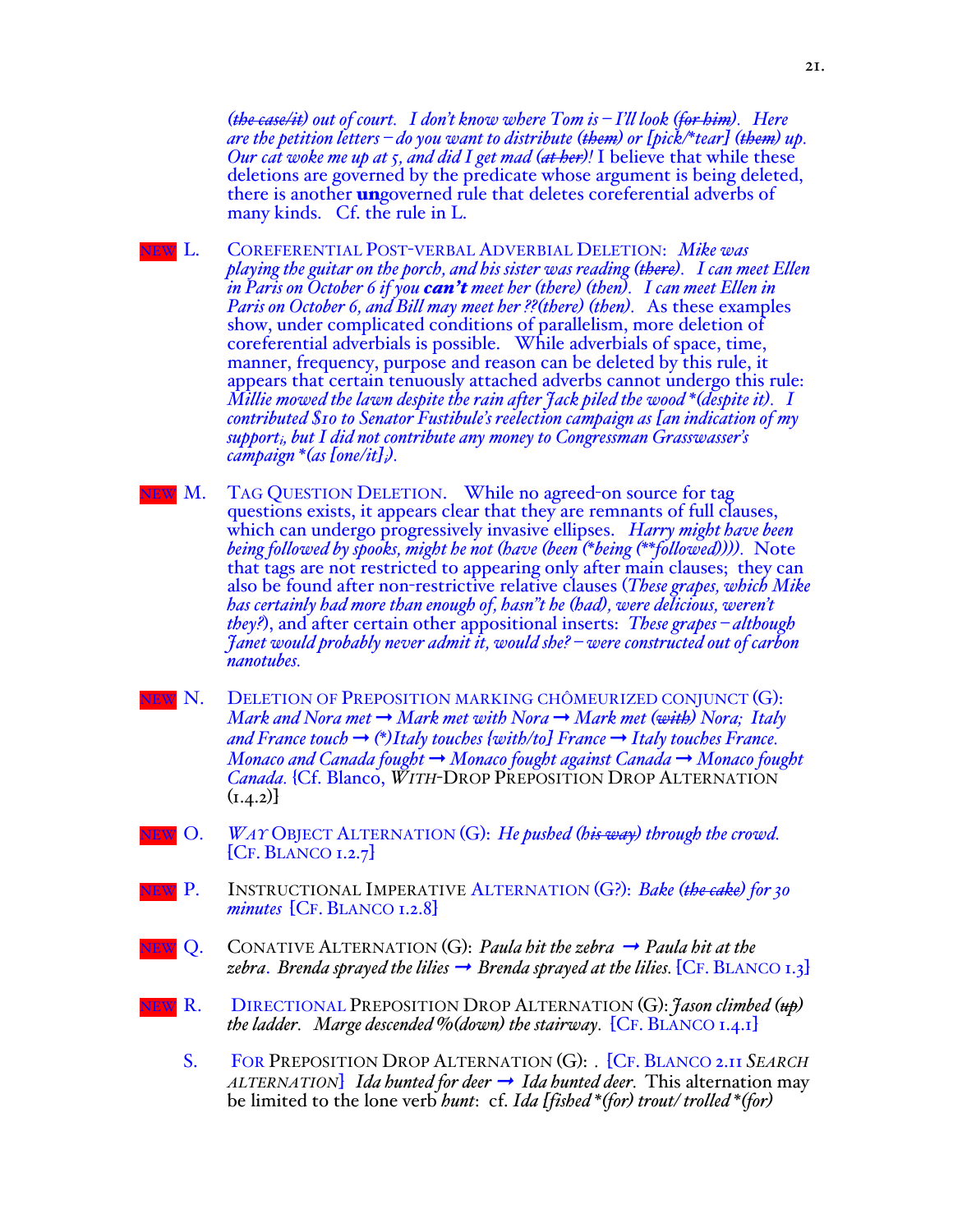*(the case/it) out of court. I don't know where Tom is – I'll look (for him). Here are the petition letters – do you want to distribute (them) or [pick/\*tear] (them) up. Our cat woke me up at 5, and did I get mad (at her)!* I believe that while these deletions are governed by the predicate whose argument is being deleted, there is another **un**governed rule that deletes coreferential adverbs of many kinds. Cf. the rule in L.

- NEW L. COREFERENTIAL POST-VERBAL ADVERBIAL DELETION: *Mike was playing the guitar on the porch, and his sister was reading (there). I can meet Ellen in Paris on October 6 if you can't meet her (there) (then). I can meet Ellen in Paris on October 6, and Bill may meet her ??(there) (then).* As these examples show, under complicated conditions of parallelism, more deletion of coreferential adverbials is possible. While adverbials of space, time, manner, frequency, purpose and reason can be deleted by this rule, it appears that certain tenuously attached adverbs cannot undergo this rule: *Millie mowed the lawn despite the rain after Jack piled the wood \*(despite it). I contributed \$10 to Senator Fustibule's reelection campaign as [an indication of my supporti, but I did not contribute any money to Congressman Grasswasser's campaign \*(as [one/it]i).*
- EW M. TAG QUESTION DELETION. While no agreed-on source for tag questions exists, it appears clear that they are remnants of full clauses, which can undergo progressively invasive ellipses. *Harry might have been being followed by spooks, might he not (have (been (\*being (\*\*followed)))).* Note that tags are not restricted to appearing only after main clauses; they can also be found after non-restrictive relative clauses (*These grapes, which Mike has certainly had more than enough of, hasn"t he (had), were delicious, weren't they?*), and after certain other appositional inserts: *These grapes – although Janet would probably never admit it, would she? – were constructed out of carbon nanotubes.*
- NEW N. DELETION OF PREPOSITION MARKING CHÔMEURIZED CONJUNCT (G): *Mark and Nora met* ➞ *Mark met with Nora* ➞ *Mark met (with) Nora; Italy and France touch* ➞ *(\*)Italy touches {with/to] France* ➞ *Italy touches France. Monaco and Canada fought* ➞ *Monaco fought against Canada* ➞ *Monaco fought Canada.* {Cf. Blanco, *WITH*-DROP PREPOSITION DROP ALTERNATION  $(1.4.2)$
- NEW O. *WAY* OBJECT ALTERNATION (G): *He pushed (his way) through the crowd.*  $[CF. BLANCO I.2.7]$
- NEW P. INSTRUCTIONAL IMPERATIVE ALTERNATION (G?): *Bake (the cake) for 30 minutes* [CF. BLANCO 1.2.8]
- NEW Q. CONATIVE ALTERNATION (G): *Paula hit the zebra* ➞ *Paula hit at the zebra. Brenda sprayed the lilies*  $\rightarrow$  *Brenda sprayed at the lilies.* [CF. BLANCO 1.3]
- NEW R. DIRECTIONAL PREPOSITION DROP ALTERNATION (G): *Jason climbed (up) the ladder. Marge descended %(down) the stairway.* [CF. BLANCO 1.4.1]
	- S. FOR PREPOSITION DROP ALTERNATION (G): *.* [CF. BLANCO 2.11 *SEARCH ALTERNATION*] *Ida hunted for deer*  $\rightarrow$  *Ida hunted deer.* This alternation may be limited to the lone verb *hunt*: cf. *Ida [fished \*(for) trout/ trolled \*(for)*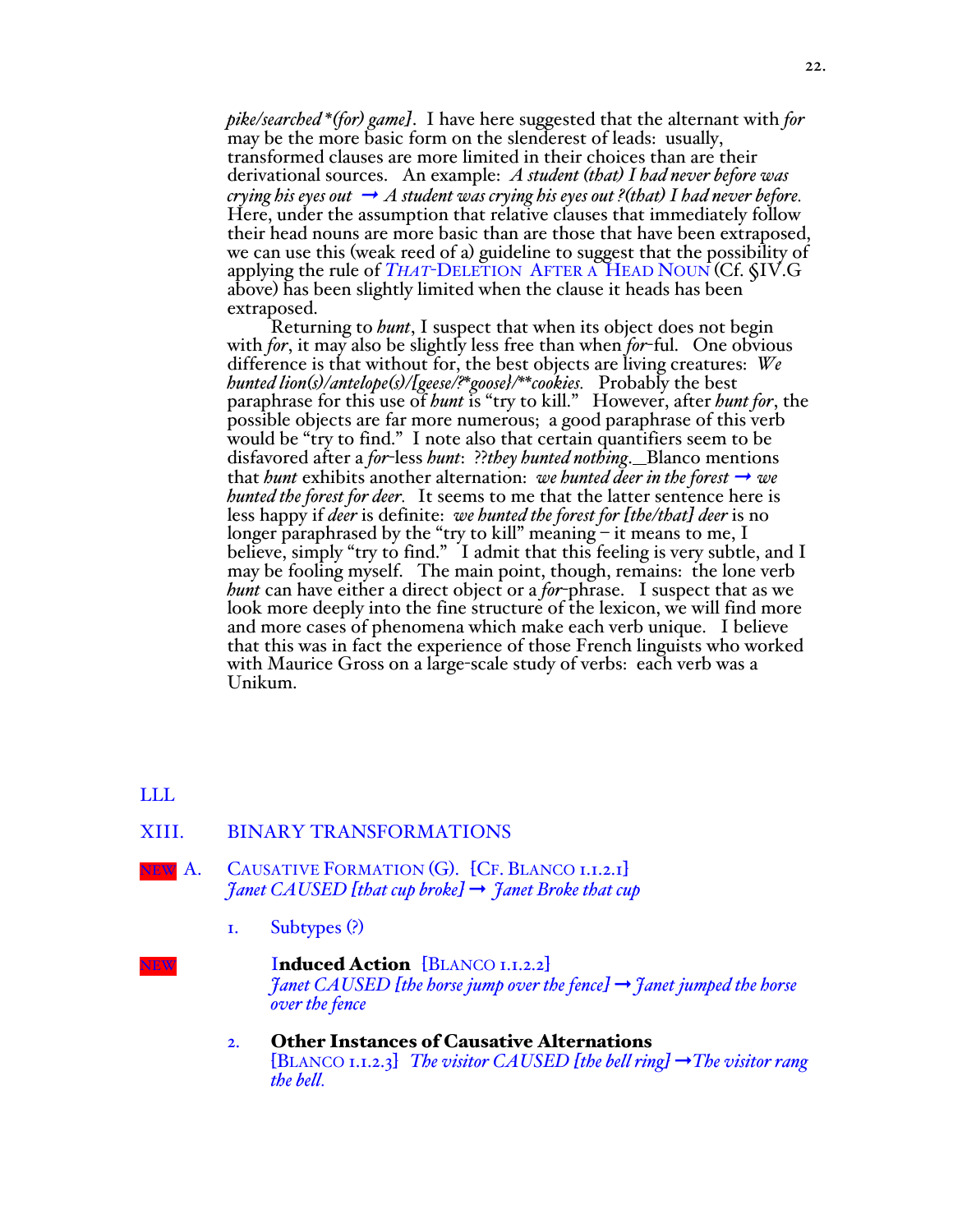*pike/searched \*(for) game]*. I have here suggested that the alternant with *for* may be the more basic form on the slenderest of leads: usually, transformed clauses are more limited in their choices than are their derivational sources. An example: *A student (that) I had never before was crying his eyes out*  $\rightarrow$  *A student was crying his eyes out ?(that)* I had never before. Here, under the assumption that relative clauses that immediately follow their head nouns are more basic than are those that have been extraposed, we can use this (weak reed of a) guideline to suggest that the possibility of applying the rule of *THAT*-DELETION AFTER A HEAD NOUN (Cf. §IV.G above) has been slightly limited when the clause it heads has been extraposed.

Returning to *hunt*, I suspect that when its object does not begin with *for*, it may also be slightly less free than when *for*-ful. One obvious difference is that without for, the best objects are living creatures: *We hunted lion(s)/antelope(s)/[geese/?\*goose}/\*\*cookies.* Probably the best paraphrase for this use of *hunt* is "try to kill." However, after *hunt for*, the possible objects are far more numerous; a good paraphrase of this verb would be "try to find." I note also that certain quantifiers seem to be disfavored after a *for*-less *hunt*: ??*they hunted nothing*. Blanco mentions that *hunt* exhibits another alternation: *we hunted deer in the forest*  $\rightarrow$  *we hunted the forest for deer.* It seems to me that the latter sentence here is less happy if *deer* is definite: *we hunted the forest for [the/that] deer* is no longer paraphrased by the "try to kill" meaning – it means to me, I believe, simply "try to find." I admit that this feeling is very subtle, and I may be fooling myself. The main point, though, remains: the lone verb *hunt* can have either a direct object or a *for*-phrase. I suspect that as we look more deeply into the fine structure of the lexicon, we will find more and more cases of phenomena which make each verb unique. I believe that this was in fact the experience of those French linguists who worked with Maurice Gross on a large-scale study of verbs: each verb was a Unikum.

# LLL

# XIII. BINARY TRANSFORMATIONS



NEW A. CAUSATIVE FORMATION (G). [CF. BLANCO 1.1.2.1] *Janet CAUSED [that cup broke]* ➞ *Janet Broke that cup*

1. Subtypes (?)

### NEW **Induced Action** [BLANCO 1.1.2.2] *Janet CAUSED [the horse jump over the fence]* ➞ *Janet jumped the horse over the fence*

2. Other Instances of Causative Alternations [BLANCO 1.1.2.3] *The visitor CAUSED [the bell ring]* ➞*The visitor rang the bell.*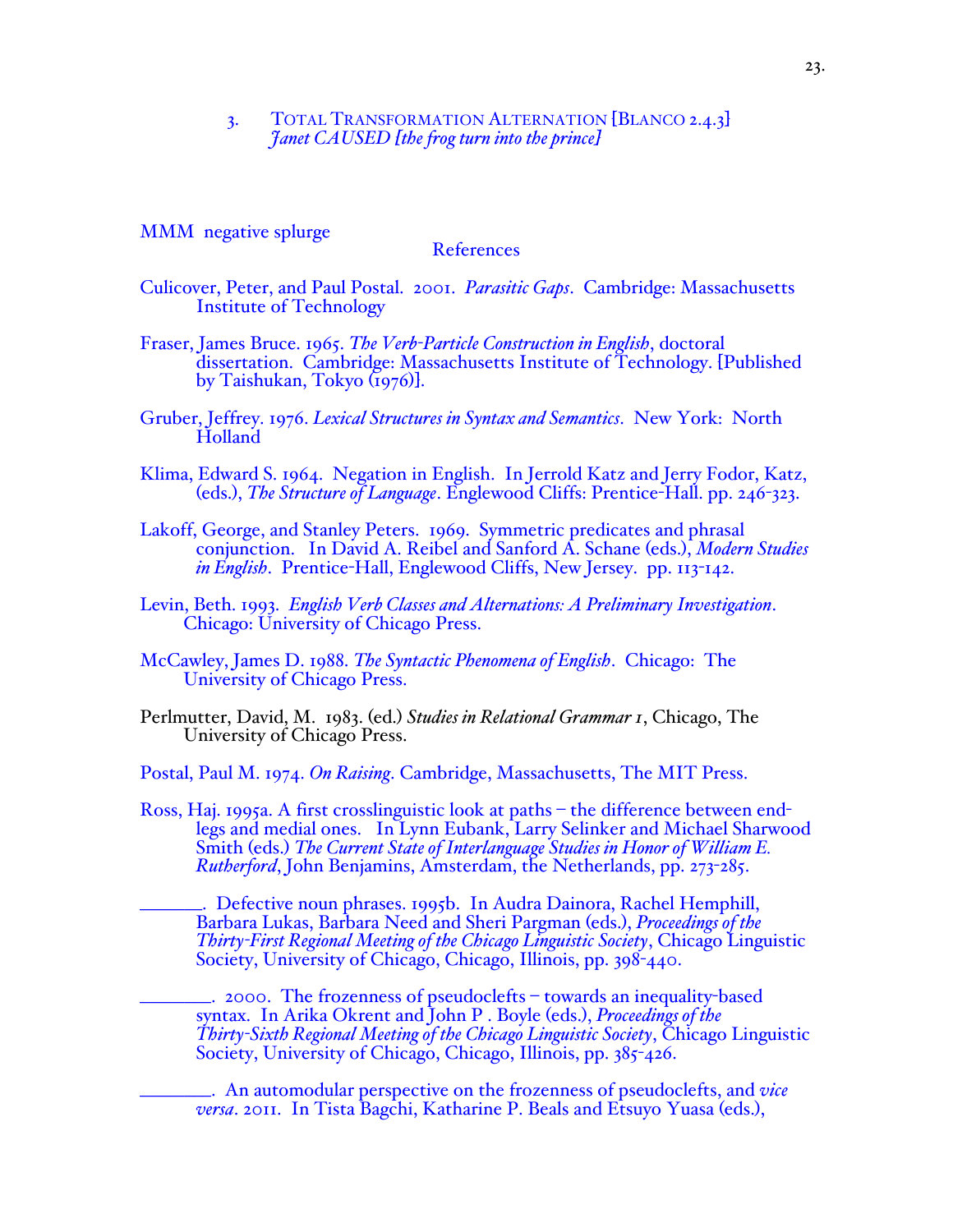3. TOTAL TRANSFORMATION ALTERNATION [BLANCO 2.4.3] *Janet CAUSED [the frog turn into the prince]*

MMM negative splurge

#### **References**

- Culicover, Peter, and Paul Postal. 2001. *Parasitic Gaps*. Cambridge: Massachusetts Institute of Technology
- Fraser, James Bruce. 1965. *The Verb-Particle Construction in English*, doctoral dissertation. Cambridge: Massachusetts Institute of Technology. [Published by Taishukan, Tokyo (1976)].
- Gruber, Jeffrey. 1976. *Lexical Structures in Syntax and Semantics*. New York: North **Holland**
- Klima, Edward S. 1964. Negation in English. In Jerrold Katz and Jerry Fodor, Katz, (eds.), *The Structure of Language*. Englewood Cliffs: Prentice-Hall. pp. 246-323.
- Lakoff, George, and Stanley Peters. 1969. Symmetric predicates and phrasal conjunction. In David A. Reibel and Sanford A. Schane (eds.), *Modern Studies in English*. Prentice-Hall, Englewood Cliffs, New Jersey. pp. 113-142.
- Levin, Beth. 1993. *English Verb Classes and Alternations: A Preliminary Investigation*. Chicago: University of Chicago Press.
- McCawley, James D. 1988. *The Syntactic Phenomena of English*. Chicago: The University of Chicago Press.
- Perlmutter, David, M. 1983. (ed.) *Studies in Relational Grammar 1*, Chicago, The University of Chicago Press.

Postal, Paul M. 1974. *On Raising*. Cambridge, Massachusetts, The MIT Press.

Ross, Haj. 1995a. A first crosslinguistic look at paths – the difference between end- legs and medial ones. In Lynn Eubank, Larry Selinker and Michael Sharwood Smith (eds.) *The Current State of Interlanguage Studies in Honor of William E. Rutherford*, John Benjamins, Amsterdam, the Netherlands, pp. 273-285.

\_\_\_\_\_\_\_. Defective noun phrases. 1995b. In Audra Dainora, Rachel Hemphill, Barbara Lukas, Barbara Need and Sheri Pargman (eds.), *Proceedings of the Thirty-First Regional Meeting of the Chicago Linguistic Society*, Chicago Linguistic Society, University of Chicago, Chicago, Illinois, pp. 398-440.

 $\Box$  2000. The frozenness of pseudoclefts – towards an inequality-based syntax. In Arika Okrent and John P . Boyle (eds.), *Proceedings of the Thirty-Sixth Regional Meeting of the Chicago Linguistic Society*, Chicago Linguistic Society, University of Chicago, Chicago, Illinois, pp. 385-426.

\_\_\_\_\_\_\_\_. An automodular perspective on the frozenness of pseudoclefts, and *vice versa*. 2011. In Tista Bagchi, Katharine P. Beals and Etsuyo Yuasa (eds.),